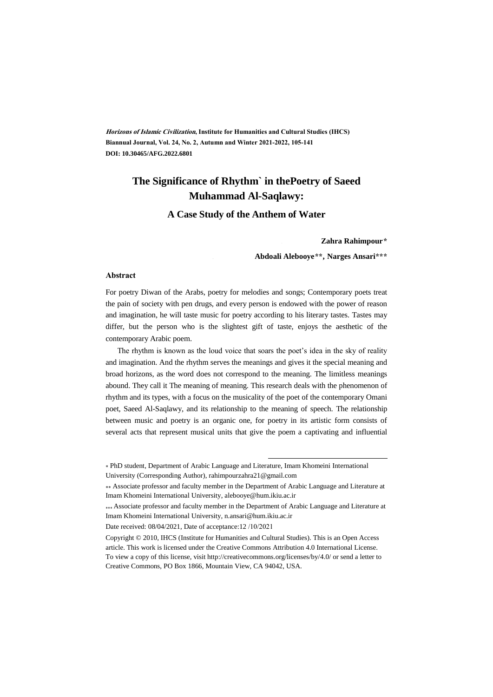**Horizons of Islamic Civilization, Institute for Humanities and Cultural Studies (IHCS) Biannual Journal, Vol. 24, No. 2, Autumn and Winter 2021-2022, 105-141 DOI[: 10.30465/AFG.2022.6801](https://dx.doi.org/10.30465/afg.2022.6801)**

## **The Significance of Rhythm` in thePoetry of Saeed Muhammad Al-Saqlawy:**

**A Case Study of the Anthem of Water**

#### **\* Zahra Rahimpour\***

**† Abdoali Alebooye\*\*, Narges Ansari\*\*\***

#### **Abstract**

For poetry Diwan of the Arabs, poetry for melodies and songs; Contemporary poets treat the pain of society with pen drugs, and every person is endowed with the power of reason and imagination, he will taste music for poetry according to his literary tastes. Tastes may differ, but the person who is the slightest gift of taste, enjoys the aesthetic of the contemporary Arabic poem.

The rhythm is known as the loud voice that soars the poet's idea in the sky of reality and imagination. And the rhythm serves the meanings and gives it the special meaning and broad horizons, as the word does not correspond to the meaning. The limitless meanings abound. They call it The meaning of meaning. This research deals with the phenomenon of rhythm and its types, with a focus on the musicality of the poet of the contemporary Omani poet, Saeed Al-Saqlawy, and its relationship to the meaning of speech. The relationship between music and poetry is an organic one, for poetry in its artistic form consists of several acts that represent musical units that give the poem a captivating and influential

 $\overline{a}$ 

<sup>\*</sup> PhD student, Department of Arabic Language and Literature, Imam Khomeini International University (Corresponding Author), rahimpourzahra21@gmail.com

Associate professor and faculty member in the Department of Arabic Language and Literature at Imam Khomeini International University, alebooye@hum.ikiu.ac.ir

<sup>\*\*\*</sup> Associate professor and faculty member in the Department of Arabic Language and Literature at Imam Khomeini International University, n.ansari@hum.ikiu.ac.ir

Date received: 08/04/2021, Date of acceptance:12 /10/2021

Copyright © 2010, IHCS (Institute for Humanities and Cultural Studies). This is an Open Access article. This work is licensed under the Creative Commons Attribution 4.0 International License. To view a copy of this license, visit http://creativecommons.org/licenses/by/4.0/ or send a letter to Creative Commons, PO Box 1866, Mountain View, CA 94042, USA.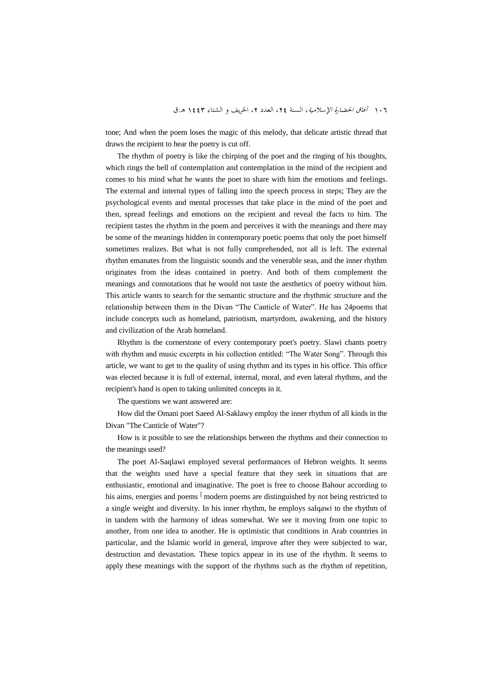tone; And when the poem loses the magic of this melody, that delicate artistic thread that draws the recipient to hear the poetry is cut off.

The rhythm of poetry is like the chirping of the poet and the ringing of his thoughts, which rings the bell of contemplation and contemplation in the mind of the recipient and comes to his mind what he wants the poet to share with him the emotions and feelings. The external and internal types of falling into the speech process in steps; They are the psychological events and mental processes that take place in the mind of the poet and then, spread feelings and emotions on the recipient and reveal the facts to him. The recipient tastes the rhythm in the poem and perceives it with the meanings and there may be some of the meanings hidden in contemporary poetic poems that only the poet himself sometimes realizes. But what is not fully comprehended, not all is left. The external rhythm emanates from the linguistic sounds and the venerable seas, and the inner rhythm originates from the ideas contained in poetry. And both of them complement the meanings and connotations that he would not taste the aesthetics of poetry without him. This article wants to search for the semantic structure and the rhythmic structure and the relationship between them in the Divan "The Canticle of Water". He has 24poems that include concepts such as homeland, patriotism, martyrdom, awakening, and the history and civilization of the Arab homeland.

Rhythm is the cornerstone of every contemporary poet's poetry. Slawi chants poetry with rhythm and music excerpts in his collection entitled: "The Water Song". Through this article, we want to get to the quality of using rhythm and its types in his office. This office was elected because it is full of external, internal, moral, and even lateral rhythms, and the recipient's hand is open to taking unlimited concepts in it.

The questions we want answered are:

How did the Omani poet Saeed Al-Saklawy employ the inner rhythm of all kinds in the Divan "The Canticle of Water"?

How is it possible to see the relationships between the rhythms and their connection to the meanings used?

The poet Al-Saqlawi employed several performances of Hebron weights. It seems that the weights used have a special feature that they seek in situations that are enthusiastic, emotional and imaginative. The poet is free to choose Bahour according to his aims, energies and poems <sup>1</sup> modern poems are distinguished by not being restricted to a single weight and diversity. In his inner rhythm, he employs salqawi to the rhythm of in tandem with the harmony of ideas somewhat. We see it moving from one topic to another, from one idea to another. He is optimistic that conditions in Arab countries in particular, and the Islamic world in general, improve after they were subjected to war, destruction and devastation. These topics appear in its use of the rhythm. It seems to apply these meanings with the support of the rhythms such as the rhythm of repetition,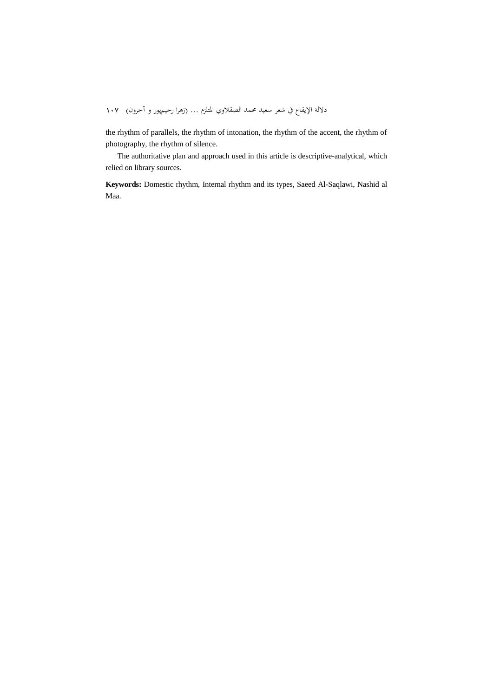the rhythm of parallels, the rhythm of intonation, the rhythm of the accent, the rhythm of photography, the rhythm of silence.

The authoritative plan and approach used in this article is descriptive-analytical, which relied on library sources.

**Keywords:** Domestic rhythm, Internal rhythm and its types, Saeed Al-Saqlawi, Nashid al Maa.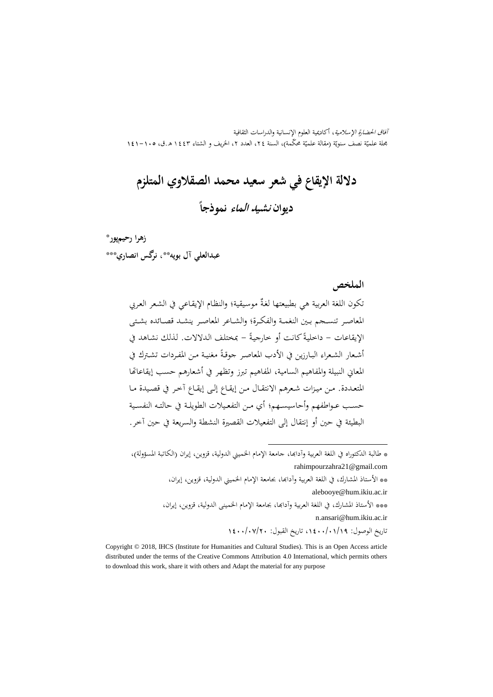آفاق احلضارة اإلسالمية، أكادميية العلوم اإلنسانية والدراسات الثقافية بحلة علميّة نصف سنويّة (مقالة علميّة محكّمة)، السنة ٢٤، العدد ٢، الخريف و الشتاء ١٤٤٣ هـ.ق، ١٠٥–١٤١

**داللة اإلیقاع في شعر سعید محمد الصقالوي المتلزم دیوان نشید الماء نموذجا**

# \* **زهرا رحیمپور** \* **عبدالعلي آل بویه** ‡ \* **، نرگس انصاري** \* ‡ \*\*

**الملخص**

تكون اللغة العربية هي بطبيعتها لغةٌ موسيقية؛ والنظام الإيقاعي في الشعر العربي المعاصـر تنسـجم بـين النغمـة والفكـرة؛ والشـاعر المعاصـر ينشـد قصـائده بشـتي الإيقاعات – داخليةً كانت أو خارجيةً – بمختلف الدلالات. لذلك نشاهد في  $\ddot{\phantom{a}}$ أشـعار الشـعراء البـارزين في الأدب المعاصـر جوقـةً مغنيـة مـن المفـردات تشـترك في  $\ddot{\phantom{a}}$ المعاين النبيلة والمفاهيم السامية، المفاهيم تبرز وتظهر في أشعارهم حسب إيقاعاتها املتعـددة. مـد ميــزات شـعرهم االنتقـان مــد إیقـاع إلـ إیقـاع آخـر يف دصـيدة مـا حســب عــوا فهم وأحاسيســهم أي مــد التفعــيالت الطو یلــة يف حالتــن النفســية البطيئة في حين أو إنتقال إلى التفعيلات القصيرة النشطة والسريعة في حين آخر .

\* طالبة الدکتوراه في اللغة العربية وآدابها، جامعة الإمام الخميني الدولية، قزوين، إيران (الکاتبة المسؤولة)، [rahimpourzahra21@gmail.com](mailto:rahimpourzahra21@gmail.com)

 $\overline{a}$ 

\*\* اعستاذ املشار ، يف اللغة العربية وآداهبا، جبامعة اإلمام اخلميين الدولية، دزوید، إیران، [alebooye@hum.ikiu.ac.ir](mailto:alebooye@hum.ikiu.ac.ir) \*\*\* الأستاذ المشارك، في اللغة العربية وآدابها، بجامعة الإمام الخميني الدولية، قزوين، إيران،

> [n.ansari@hum.ikiu.ac.ir](mailto:n.ansari@hum.ikiu.ac.ir) تاریخ الوصون: ،1400/01/19 تاریخ القبون: 1400/07/20

Copyright © 2018, IHCS (Institute for Humanities and Cultural Studies). This is an Open Access article distributed under the terms of the Creative Commons Attribution 4.0 International, which permits others to download this work, share it with others and Adapt the material for any purpose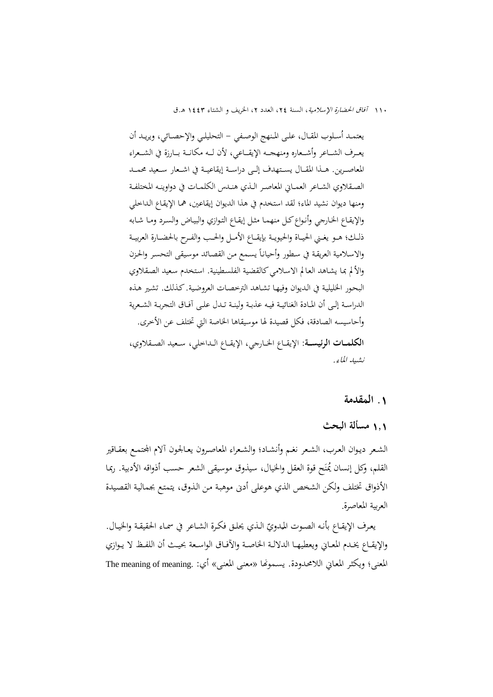١١٠ *آفاق الحضارة الإسلامية*، السنة ٢٤، العدد ٢، الخريف و الشتاء ١٤٤٣ هـ.ق

يعتمـد أسـلوب المقـال، علـي المـنهج الوصـفي – التحليلـي والإحصـائي، ويريـد أن يعـرف الشــاعر وأشــعاره ومنهجــه الإيقــاعي، لأن لــه مکانــة بــارزة في الشــعراء المعاصـرين. هــذا المقــال يسـتهدف إلــي دراســة إيقاعيــة في اشــعار سـعيد محمــد الصـقلاوي الشـاعر العمـاني المعاصـر الـذي هنـدس الكلمـات في دواوينـه المختلفـة ومنها دیوان نشيد الماء؛ لقد استخدم في هذا الدیوان إیقاعين، هما الإیقاع الداخلي والإيقـاع الخـارجي وأنـواع كـل منهمـا مثـل إيقـاع التـوازي والبيـاض والسـرد ومـا شـابه ذلـك؛ هـو يغـني الحيـاة والحيويــة بإيقــاع الأمـل والحـب والفـرح بالحضـارة العربيــة والاسلامية العريقـة في سطور وأحيانـًا يسمع من القصـائد موسيقى التحسر والحزن والألم بما يشـاهد العـالم الاسـلامي كالقضية الفلسطينية. استخدم سعيد الصقلاوي البحـور الحليليـة في الـديوان وفيهـا تشـاهد الترخصـات العروضية. كـذلك. تشـير هـذه الدراسـة إلـى أن المـادة الغنائيــة فيـه عذبـة ولينــة تـدل علــى آفــاق التـحربـة الشـعرية وأحاسيسه الصادقة، فكل قصيدة لها موسيقاها الخاصة التي تختلف عن الأخرى. ا**لكلمــات الرئيســة**: الإيقــاع الخــارجي، الإيقــاع الــداخلي، سـعيد الصــقلاوي، نشيد املاء.

#### **.**1 **المقدمة**

1**.**1 **م ألة البحث**

الشعر ديـوان العرب، الشـعر نغـم وأنشـاد؛ والشـعراء المعاصـرون يعـالجون آلام المحتمـع بعقـاقير القلم، وكل إنسان يُمنَح قوة العقل والخيال، سيذوق موسيقى الشعر حسب أذواقه الأدبية. رمما ن الأذواق تختلف ولكن الشخص الذي هوعلى أدبى موهبـة مـن الـذوق، يتمتـع بجماليـة القصيدة العربية املعاصرة.

يعرف الإيقـاع بأنـه الصـوت المبدويّ الـذي يحلـق فكـرة الشـاعر في سمـاء الحقيقـة والخيـال.<br>تــد مند سلمـد احد السلطانية المادات المائنة اتــدال مــد مــد و أو الله طلمـد واإلیقــاع خیــدم املعــاين ویعطيهــا الداللــة اخلاصــة واثفــاق الواســعة يــ أن اللفــ ال یــوازي المعنى؛ ويكثر المعاني اللامحدودة. يسمونُما «معنى المعنى» أي: .The meaning of meaning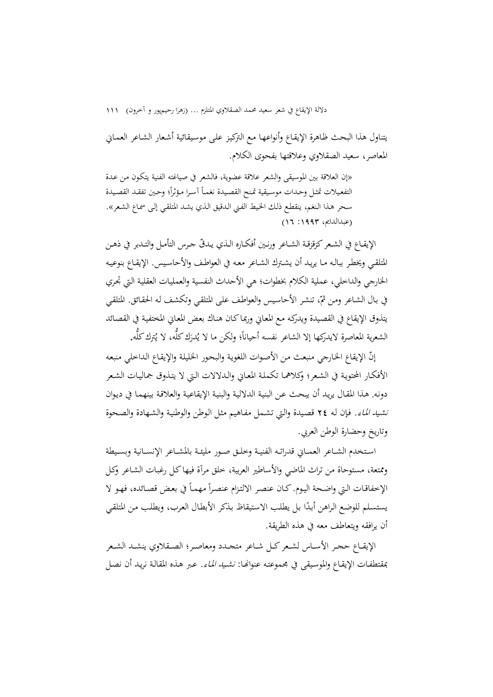يتناول هذا البحث ظاهرة الإيقاع وأنواعها مع التركيز على موسيقائية أشعار الشاعر العمايي المعاصر، سعيد الصقلاوي وعلاقتها بفحوي الكلام.

«إن العلاقة بين الموسيقى والشعر علاقة عضوية، فالشعر في صياغته الفنية يتكون مـن عـدة  $\overline{\phantom{a}}$ التفعيلات تمثل وحدات موسيقية تمنح القصيدة نغمـاً أسرا مؤثراً؛ وحين تفقـد القصيدة  $\frac{1}{2}$ سحر هـذا النغم، ينقطـع ذلك الخيط الفـني الـدقيق الـذي يشـد المتلقـي إلـي سماع الشـعر». )عبدالدامي، :1993 16(

الإيقـاع في الشـعر كزقزقـة الشـاعر ورنـين أفكـاره الـذي يـدقّ جـرس التأمـل والتـدبر في ذهـن المتلقـي ويخطر ببالـه مـا يريـد أن يشـترك الشـاعر معـه في العواطـف والأحاسـيس. الإيقـاع بنوعيـه الخارجي والداخلي، عملية الكلام بخطوات؛ هي الأحداث النفسية والعمليات العقلية التي تحري في بـال الشـاعر ومن ثمّ، تنشـر الأحاسيس والعواطف علـى المتلقـي وتكشف له الحقـائق. المتلقـي يتذوق الإيقاع في القصيدة ويدركه مـع المعايي ورماكان هناك بعض المعايي المختفية في القصائد الشعرية المعاصرة لايدركها إلا الشاعر نفسه أحياناً؛ ولكن ما لا يُدرَك كلَّه، لا يُترك كلَّه.<br>. َ

إنّ الإيقاع الخارجي منبعث من الأصوات اللغوية والبحور الخليلة والإيقاع الداحلي منبعه الأفكـار المحتويـة في الشـعر؛ وكلاهمـا تكملـة المعـاي والـدلالات الـتي لا يتـذوق جماليـات الشـعر دونه. هـذا المقـال يريـد أن يبحـث عـن البنيـة الدلاليـة والبنيـة الإيقاعيـة والعلاقـة بينهمـا في ديـوان نشيد الماء. فإن له ٢٤ قصيدة والتي تشمل مفـاهيم مثل الوطن والوطنية والشـهادة والصحوة وتاریخ وحضارة الوطن العربي.

اسـتخدم الشـاعر العمـاني قدراتـه الفنيـة وخلـق صـور مليئــة بالمشـاعر الإنسـانية وبسـيطة وممتعة، مستوحاة من تراث الماضي والأساطير العربية، خلق مرآة فيها كـل رغبـات الشـاعر وكـل الإخفاقات التي واضحة اليوم. كـان عنصر الالتزام عنصراً مهمـاً في بعض قصـائده، فهـو لا ا يستسلم للوضع الراهن أبدًا بل يطلب الاستيقاظ بذكر الأبطال العرب، ويطلب من المتلقى أن یرافقه ویتعاطف معه فی هذه الطریقة.

الإيقــاع حجـر الأســاس لشـعر كــل شــاعر متجـدد ومعاصـر؛ الصــقلاوي ينشـد الشـعر بمقتطفـات الإيقـاع والموسيقى في مجموعتـه عنوانهـا: *نشـيد الماء.* عـبر هـذه المقالـة نريـد أن نصـل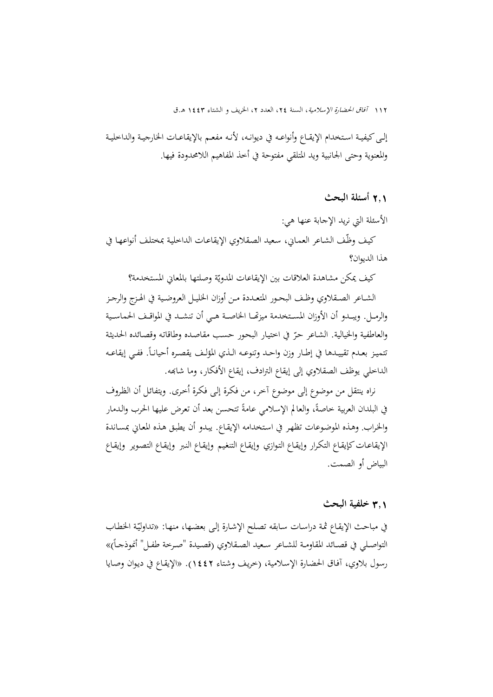إلـى كيفيـة اسـتخدام الإيقـاع وأنواعـه في ديوانـه، لأنـه مفعـم بالإيقاعـات الخارجيـة والداخليـة والمعنوية وحتى الجانبية ويد المتلقي مفتوحة في أخذ المفاهيم اللامحدودة فيها.

2**.**1 **أسئلة البحث**

الأسئلة التي نرید الإجابة عنها هي: كيف وظّف الشاعر العمايي، سعيد الصقلاوي الإيقاعـات الداخلية بمختلف أنواعها في هذا الدیوان؟

كيف يمكن مشاهدة العلاقات بين الإيقاعات المدويّة وصلتها بالمعاني المستخدمة؟

الشـاعر الصـقلاوي وظـف البحـور المتعـددة مـن أوزان الخليـل العروضـية في الهـزج والرجـز والرمــل. ويبــدو أن الأوزان المسـتخدمة ميزتهــا الخاصــة هــي أن تنشــد في المواقـف الحماسـية والعاطفية والخيالية. الشاعر حرّ في احتيار البحور حسب مقاصده وطاقاته وقصائده الحديثة تتميز بعـدم تقييـدها في إطـار وزن واحـد وتنوعـه الـذي المؤلـف يقصـره أحيانـاً. ففـي إيقاعـه الداخلي یوظف الصقلاوي إلى إیقاع الترادف، إیقاع الأفكار، وما شابمه.

نراه ينتقل من موضوع إلى موضوع آخر، من فكرة إلى فكرة أخرى. ويتفائل أن الظروف في البلدان العربية خاصةً، والعالم الإسلامي عامةً تتحسن بعد أن تعرض عليها الحرب والدمار  $\ddot{\cdot}$ والخراب. وهـذه الموضوعات تظهر في استخدامه الإيقـاع. يبدو أن يطبق هـذه المعـايي بمسـاندة الإيقاعـات كإيقـاع التكـرار وإيقـاع التـوازي وإيقـاع التنغيـم وإيقـاع التـوير و إيقـاع التصـوير وإيقـاع البياض أو الصمت.

## 3**.**1 **خلفیة البحث**

في مباحث الإيقاع ثمة دراسات سابقه تصلح الإشارة إلى بعضـها، منهـا: «تداوليّة الخطـاب التواصـلي في قصـائد المقاومـة للشـاعر سـعيد الصـقلاوي (قصيدة "صـرخة طفـل" أنموذجـاً)» رسول بلاوي، آفاق الحضارة الإسلامية، (خریف وشتاء ١٤٤٢). «الإيقاع في دیوان وصایا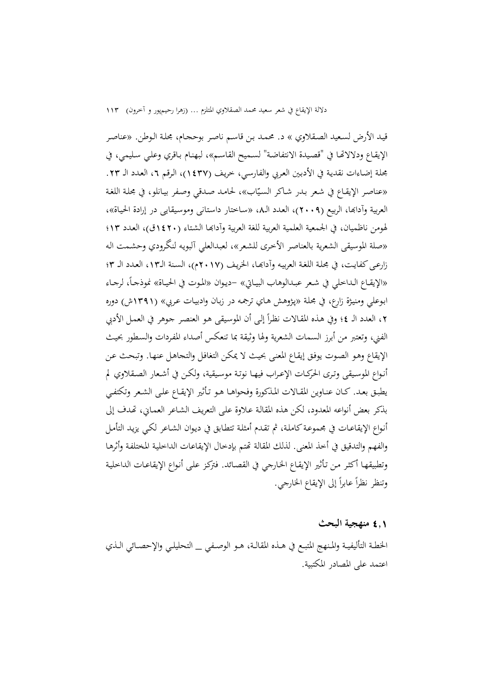قيد الأرض لسعيد الصقلاوي » د. محمد بن قاسم ناصر بوحجام، مجلة الوطن. «عناصر الإيقـاع ودلالاتّحا في "قصيدة الانتفاضة" لسـميح القاسـم»، لبهنـام بـاقري وعلـي سليمي، في جحلة إضاءات نقدية في الأدبين العربي والفارسي، خريف (١٤٣٧)، الرقم ٦، العدد الـ ٢٣. «عناصر الإيقاع في شعر بـدر شـاكر السيّاب»، لحامـد صـدقي وصفر بيـانلو، في مجلـة اللغـة العربية وآدابها، الربيع (٢٠٠٩)، العدد الـ٨، «ساختار داستاني وموسيقايي در إرادة الحياة»، لهومن ناظميان، في الجمعية العلمية العربية للغة العربية وآدابها الشتاء (١٤٢٠ق)، العدد ١٣؛ «صلة الموسيقى الشعرية بالعناصر الأخرى للشعر»، لعبدالعلي آلبويه لنگرودي وحشـمت الـه زارعـي كفايت، في مجلة اللغة العربيه وآدابهـا، الخريف (٢٠١٧م)، السنة الـ١٣، العـدد الـ ٣؛ «الإيقـاع الـداخلي في شـعر عبـدالوهاب البيـاتي» –ديـوان «المـوت في الحيـاة» نموذجـاً، لرجـاء ابوعلي ومنيژة زارع، في مجلة «پـژوهش هـاي ترجمه در زبـان وادبيـات عـربي» (١٣٩١ش) دوره ٢، العدد الـ ٤؛ وفي هـذه المقـالات نظراً إلى أن الموسيقى هـو العنصـر جـوهر في العمـل الأدبي  $\overline{a}$ الفني، وتعتبر من أبرز السمات الشعرية ولها وثيقة بما تنعكس أصداء المفردات والسطور بحيث الإيقاع وهـو الصوت يوفق إيقـاع المعنى بحيث لا يمكن التغافل والتجاهـل عنهـا. وتبحث عن أنـواع الموسـيقي وترى الحركـات الإعـراب فيهـا نوتـة موسـيقية، ولكـن في أشـعار الصـقلاوي لم يطبق بعـد. كـان عنـاوين المقـالات المذكورة وفحواهـا هـو تـأثير الإيقـاع علـى الشـعر وتكتفـي بذكر بعض أنواعه المعدود، لكن هذه المقالـة عـلاوة علمي التعریف الشـاعر العمـاني، تهدف إلى أنـواع الإيقاعـات في مجـموعـة کـاملـة، ثم تقـدم أمثلـة تتطـابق في ديـوان الشـاعر لکـي يزيـد التأمـل والفهم والتدقيق في أخذ المعنى. لذلك المقالة تهتم بإدخال الإيقاعات الداخلية المختلفة وأثرهـا وتطبيقهـا أكثـر مـن تـأثير الإيقـاع الحـارجي في القصـائد. فتركـز عـلمي أنـواع الإيقاعـات الداخليـة وتنظر نظراً عابراً إلى الإيقاع الخارجي.  $\overline{a}$ 

#### 4**.**1 **منهجیة البحث**

الخطـة التأليفيـة والمنهج المتبـع في هــذه المقالـة، هــو الوصـفي \_\_ التحليلـي والإحصـائي الـذي اعتمد عل املصادر املكتبية.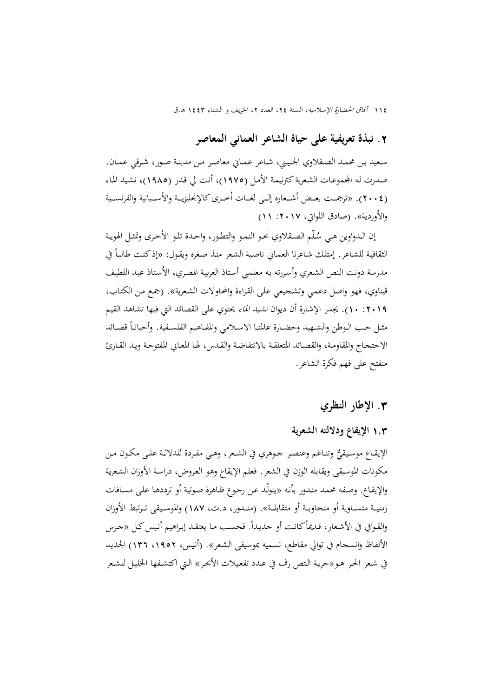# **.**2 **نبذة تعریفیة علی حیاة الشاعر العماني المعاصر**

سعيد بـن محمـد الصـقلاوي الجنيـني، شـاعر عمـاني معاصـر مـن مدينـة صـور، شـرقي عمـان. صـدرت لـه المحموعـات الشعرية كترنيمـة الأمـل (١٩٧٥)، أنـت لي قـدر (١٩٨٥)، نشيد الماء (٢٠٠٤). «ترجمـت بعـض أشـعاره إلــي لغــات أخــرى كالإنجليزيــة والأســبانية والفرنســية والأوردية». (صادق اللواتي، ٢٠١٧: ١١)

إن الـدواوين هي سُلّم الصقلاوي نحو النمـو والتطـور، واحـدة تلـو الأخـرى وتمثـل الهويـة الثقافية للشـاعر. إمتلك شـاعرنا العمـاني ناصية الشعر منـذ صغره ويقـول: «إذكنـت طالبـاً في مدرسة دونت النص الشعري وأسررته به معلمي أستاذ العربية المصري، الأستاذ عبد اللطيف قيناوي، فهو واصل دعمي وتشجيعي على القراءة والمحاولات الشعرية». (جمع من الكتاب، ۰۱**۰: ۱۰).** يجدر الإشارة أن ديوان *نشيد الماء يحت*وي على القصائد التي فيها تشاهد القيم مثـل حـب الـوطن والشـهيد وحضـارة عالمنـا الاســلامي والمفـاهيم الفلسـفية. وأحيانـاً قصـائد الاحتجـاج والمقاومـة، والقصـائد المتعلقـة بالانتفاضـة والقـدس، لهـا المعـايي المفتوحـة ويـد القـارئ منفتح على فهم فكرة الشاعر.

**.**3 **اإلطار النظر ي**

## 1**.**3 **اإلیقاع وداللته الشعریة**

الإيقــاع موسـيقيٌّ وتنـاغم وعنصـر جـوهري في الشـعر، وهـي مفـردة للدلالـة علـى مكـون مـن مكونات الموسيقى ويقابله الوزن في الشعر. فعلم الإيقاع وهو العروض، دراسة الأوزان الشعرية والإيقاع. وصفه محمد مندور بأنه «يتولّد عن رجوع ظاهرة صوتية أو ترددهـا على مسـافات زمنيــة متســاوية أو متجاوبــة أو متقابلــة». (منــدور، د.ت، ١٨٧) والموسـيقي تـرتبط الأوزان والقـوافي في الأشـعار، قـديماً کـانـت أو جديـداً. فحسـب مـا يعتقـد إبـراهيم أنـيس کـل «جـرس الألفاظ وانسجام في توالي مقاطع، نسميه بموسيقي الشعر». (أنيس، ١٩٥٢، ١٣٦) الجديد في شعر الحر هـو«حريـة الـتص رف في عـدد تفعـيلات الأبحـر» الـتي اكتشـفها الحليـل للشـعر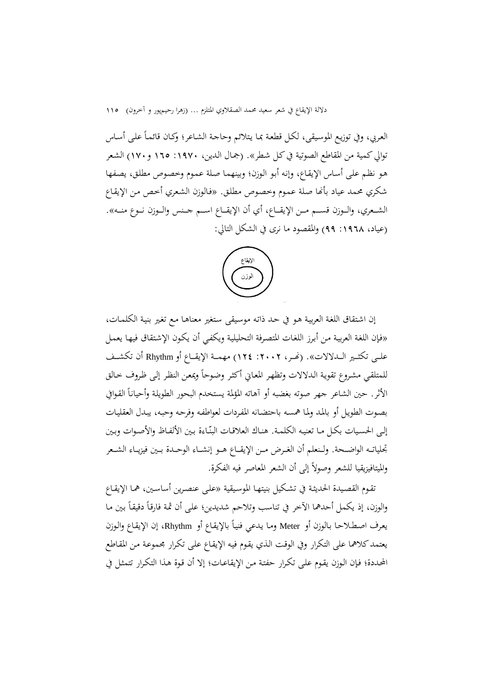العربي، وفي توزيع الموسيقى، لكل قطعة بما يتلائم وحاجة الشاعر؛ وكـان قائمـاً على أسـاس توالي كمية من المقاطع الصوتية في كل شطر». (جمال الدين، ١٩٧٠: ١٦٥ و ١٧٠) الشعر هو نظم على أساس الإيقاع، وإنه أبو الوزن؛ وبينهما صلة عموم وخصوص مطلق، يصفها شكري محمد عياد بأنما صلة عموم وخصوص مطلق. «فالوزن الشعري أخص من الإيقاع الشــعري، والــوزن قســـم مــن الإيقـــاع، أي أن الإيقــاع اســم جــنس والــوزن نــوع منـــه». (عياد، ١٩٦٨: ٩٩) والمقصود ما نری فی الشکل التالي:



إن اشـتقاق اللغـة العربيـة هـو يف حـد ذاتـن موسـيقى سـتغی معناهـا مـ تغـی بنيـة الكلمـات، »فـإن اللغـة العربيـة مـد أبـرز اللغـات املتصـرفة التحليليـة ویكفـي أن یكـون اإلشـتقاق فيهـا یعمـا علــي تكثــير الــدلالات». (نحـر، ٢٠٠٢: ١٢٤) مهمــة الإيقــاع أو Rhythm أن تكشــف للمتلقي مشروع تقوية الدلالات وتظهر المعاني أكثر وضوحاً ويمعن النظر إلى ظروف حالق الأثر. حين الشاعر جهر صوته بغضبه أو آهاته المؤلمة يستحدم البحور الطويلة وأحياناً القوافي بصـوت الطويـل أو بالمـد ولمـا همسـه باحتضـانه المفردات لعواطفـه وفرحـه وحبـه، يبـدل العقليـات .<br>-إلى الحسيات بكل مـا تعنيـه الكلمـة. هنـاك العلاقـات البنّـاءة بـين الألفـاظ والأصـوات وبـين تحلياتــه الواضــحة. ولـنعلم أن الغـرض مــن الإيقــاع هــو إنشــاء الوحــدة بــين فيزيــاء الشــعر وامليتافيزیقيا للشعر وصوال إل أن الشعر املعاصر فين الفكرة.

تقـوم القصـيدة الحديثـة في تشـكيل بنيتهـا الموسـيقية «عـلمي عنصـرين أساسـين، همـا الإيقـاع والوزن، إذ يكمل أحدهما الآخر في تناسب وتلاحم شديدين؛ على أن ثمة فارقاً دقيقاً بين ما يعرف اصـطـلاحـا بالوزن أو Meter ومـا يدعي فنيـاً بالإيقـاع أو Rhythm، إن الإيقـاع والـوزن يعتمد كلاهما على التكرار وفي الوقت الذي يقوم فيه الإيقاع على تكرار مجموعة من المقاطع المحددة؛ فـإن الـوزن يقـوم علـى تكـرار حفتـة مـن الإيقاعـات؛ إلا أن قـوة هـذا التكـرار تتمثـل في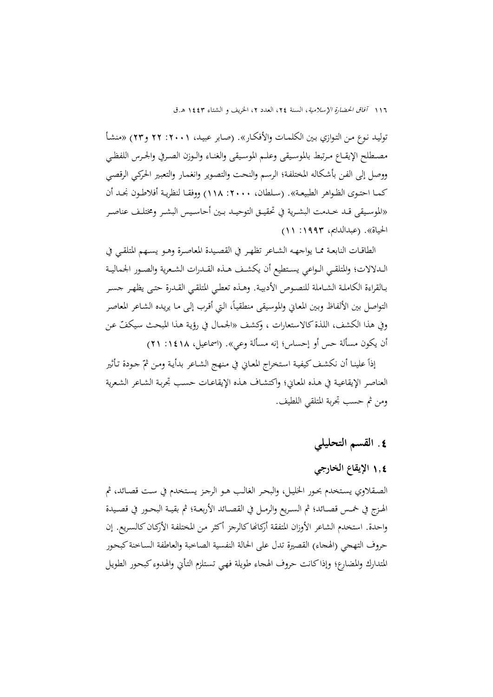توليـد نـوع مـن التـوازي بـين الكلمـات والأفكـار». (صـابر عبيـد، ٢٠٠١: ٢٢ و٢٣) «منشـأ مصـطلح الإيقـاع مـرتبط بالموسـيقى وعلـم الموسيقى والغنـاء والـوزن الصـرفي والحـرس اللفظـي ووصل إلى الفن بأشكاله المختلفة؛ الرسم والنحت والتصویر وانغمار والتعبير الحركي الرقصي كمــا احتـوى الظـواهر الطبيعــة». (سـلطان، ٢٠٠٠: ١١٨) ووفقـا لنظريـة أفلاطـون نجـد أن «الموسـيقى قــد خــدمت البشـرية في تحقيــق التوحيــد بـين أحاسـيس البشــر ومختلـف عناصـر الحياة». (عبدالدايم، ١٩٩٣: ١١)

الطاقـات النابعـة ممــا يواجـهــه الشــاعر تظهـر في القصـيدة المعاصـرة وهــو يســهم المتلقــي في الــدلالات؛ والمتلقــي الـواعي يسـتطيع أن يكشـف هــذه القــدرات الشـعرية والصــور الجماليــة بـالقراءة الكاملـة الشــاملة للنصـوص الأدبيـة. وهـذه تعطـي المتلقـي القـدرة حتـي يظهـر جسـر التواصل بين الألفاظ وبين المعاني والموسيقى منطقياً، التي أقرب إلى ما يريده الشاعر المعاصر وفي هذا الكشف، اللذة كالاستعارات ، وكشف «الجمال في رؤية هذا المبحث سيكفّ عن أن يكون مسألة حس أو إحساس؛ إنه مسألة وعي». (اسماعيل، ١٤١٨: ٢١)

إذاً علينـا أن نكشف كيفية استخراج المعـاني في منهج الشـاعر بدأيـة ومـن ثمّ جـودة تـأثير العناصر الإيقاعية في هـذه المعـاين؛ واکتشـاف هـذه الإيقاعـات حسـب تجربـة الشـاعر الشـعرية ومن ثم حسب تحربة المتلقى اللطيف.

# **.**4 **الق م التحلیلي**

# 1**.**4 **اإلیقاع الخارجي**

الصـقلاوي يستخدم بحـور الخليـل، والبحر الغالب هـو الرجـز يستخدم في ست قصـائد، ثم الهـزج في خمـس قصــائد؛ ثم السـريع والرمــل في القصــائد الأربعـة؛ ثم بقيــة البحـور في قصـيدة واحدة. استخدم الشاعر الأوزان المتفقة أركانها كالرجز أكثر من المختلفة الأركان كالسريع. إن حروف التهجي (الهجاء) القصيرة تدل على الحالة النفسية الصاخبة والعاطفة السـاخنة كبحور المتدارك والمضارع؛ وإذا كانت حروف الهجاء طويلة فهى تستلزم التأني والهدوء كبحور الطويل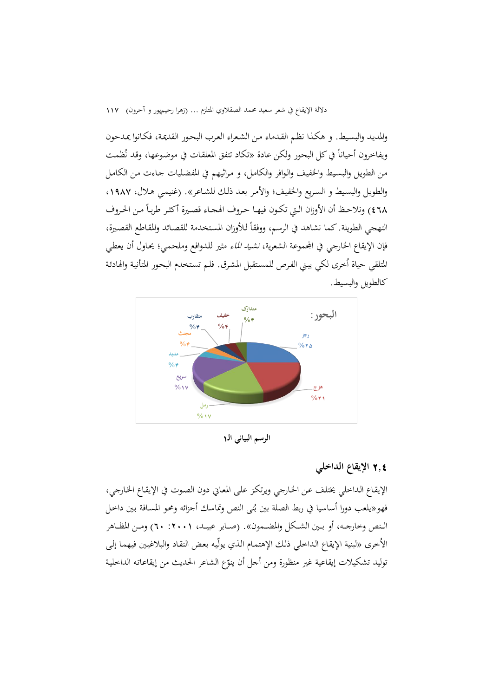والمديد والبسيط. و هكذا نظـم القـدماء مـن الشـعراء العـرب البحـور القديمـة، فكـانوا يمدحون ويفاخرون أحياناً في كل البحور ولكن عادة «تكاد تتفق المعلقات في موضوعها، وقد نُظمـ من الطويل والبسيط والخفيف والوافر والكامل، و مراثيهم في المفضليات جاءت من الكامل والطويل والبسيط و السريع والخفيف؛ والأمر بعد ذلك للشـاعر». (غنيمـي هـلال، ١٩٨٧، ٤٦٨) ونلاحظ أن الأوزان الـتي تكـون فيهـا حـروف الهجـاء قصـيرة أكثـر طربـاً مـن الحـروف التهجي الطويلة. كما نشاهد في الرسم، ووفقاً للأوزان المستخدمة للقصائد والمقاطع القصيرة، فإن الإيقاع الخارجي في المحموعة الشعرية، *نشيد الماء* مثير للدوافع وملحمي؛ يحاول أن يعطي المتلقي حياة أخرى لكي يبني الفرص للمستقبل المشرق. فلم تستخدم البحور المتأنية والهادئة كالطويل والبسيط.



**الرسم البیاني الا**1

## 2**.**4 **اإلیقاع الداخلي**

اإلیقـاع الـداخلي خیتلـف عـد اخلـارجي ویرتكـز علـ املعـاين دون الصـوت يف اإلیقـاع اخلـارجي، فهو«يلعب دورا أساسيا في ربط الصلة بين بُنى النص وتماسك أجزائه ومحو المسافة بين داحل<br>-الـنص وخارجــه، أو بـين الشـكل والمضـمون». (صـابر عبيــد، ١٠٠١، ٢٠) ومـن المظــاهر الأخرى «لبنية الإيقاع الداخلي ذلك الإهتمـام الذي يولّيه بعض النقـاد والبلاغيين فيهمـا إلـي توليد تشكيلات إيقاعية غير منظورة ومن أحل أن ينوّع الشاعر الحديث من إيقاعاته الداخلية<br>.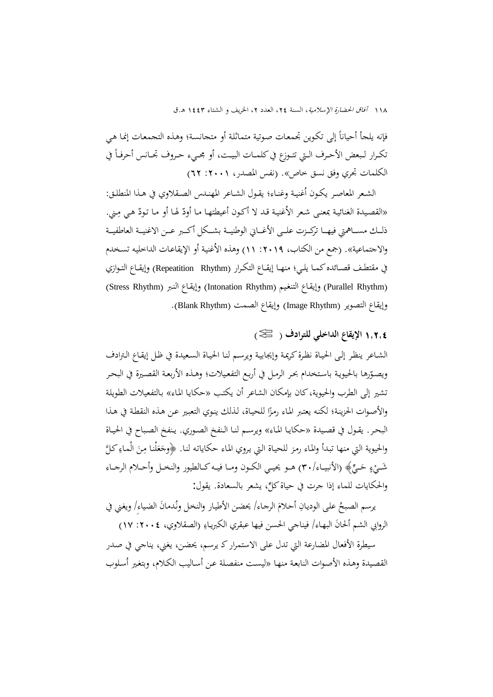$\overline{a}$ فإنه يلجأ أحياناً إلى تكوين تحمعات صوتية متماثلة أو متحانسـة؛ وهـذه التجمعات إنما هـي  $\overline{a}$ تكـرار لـبعض الأحـرف الـتي تتـوزع في كلمـات البيـت، أو مجـيء حـروف تجـانس أحرفـاً في الكلمات تجري وفق نسق خاص». (نفس المصدر، ٢٠٠١: ٦٢)

الشعر المعاصر يكون أغنية وغنـاء؛ يقـول الشـاعر المهنـدس الصـقلاوي في هـذا المنطلـق: «القصيدة الغنائية بمعنى شعر الأغنية قد لا أكون أعيطتها ما أودّ لها أو ما تودّ هي مِني.<br>.  $\overline{a}$ ذلــك مســـاهمتي فيهـــا تركــزت علــي الأغـــاين الوطنيــة بشــكل أكـــبر عـــن الاغنيــة العاطفيــة والاجتماعية». (جمع من الكتاب، ٢٠١٩: ١١) وهذه الأغنية أو الإيقاعـات الداخليه تسخدم في مقتطـف قصــائده كـمـا يلـي؛ منهـا إيقــاع التكـرار (Repeatition Rhythm) وإيقـاع التـوازي )Stress Rhythm( النـرب إیقـاع و( Intonation Rhythm( التنغـيم وإیقـاع( Purallel Rhythm( وإیقاع التصویر (Image Rhythm) وإیقاع الصمت (Blank Rhythm).

1**.**2**.**4 **اإلیقاع الداخلي للترادف ) (**

الشـاعر ينظـر إلـي الحيـاة نظـرة كريمـة وإيجابيـة ويرسـم لنـا الحيـاة السـعيدة في ظـل إيقـاع الـترادف ويصـوّرها بالحيويـة باستخدام بحر الرمـل في أربـع التفعيلات؛ وهـذه الأربعـة القصـيرة في البحـر تشير إلى الطرب والحيوية، كان بإمكان الشاعر أن يكتب «حكايا الماء» بالتفعيلات الطويلة والأصوات الحزينة؛ لكنه يعتبر الماء رمزًا للحياة، لذلك ينوي التعبير عن هذه النقطة في هذا زا البحر. يقـول في قصـيدة «حكايـا المـاء» ويرسـم لنـا الـنفخ الصـوري. يـنفخ الصبـاح في الحيـاة والحيوية التي منها تبدأ والماء رمز للحياة التي يروي الماء حكاياته لنا. ﴿وجَعَلْنا مِنَ الْماءِ كُلَّ e<br>S َ Á َ َ ْ شَــيْءٍ حَــيٍّ﴾ (الأنبيـاء/٣٠) هـو يحيـي الكـون ومـا فيـه كـالطيور والنخـل وأحــلام الرجـاء ـ ـ َ **ء**ِ والحكايات للماء إذا جرت في حياة كلٍّ، يشعر بالسعادة. يقول:

يرسم الصبحُ على الوديانِ أحلامَ الرجاء/ يحضن الأطيار والنخل ونُدمانَ الضياءِ/ ويغني في َ الروابي الشم ألحانَ البهاء/ فيناجي الحسن فيها عبقري الكبرياءِ (الصقلاوي، ٢٠٠٤: ١٧)  $\overline{\phantom{0}}$ 

سيطرة الأفعال المضارعة التي تدل علمي الاستمرار کـ يرسم، يحضن، يغني، يناجي في صدر القصيدة وهـذه الأصوات النابعة منهـا «ليست منفصلة عن أسـاليب الكـلام، وبتغير أسلوب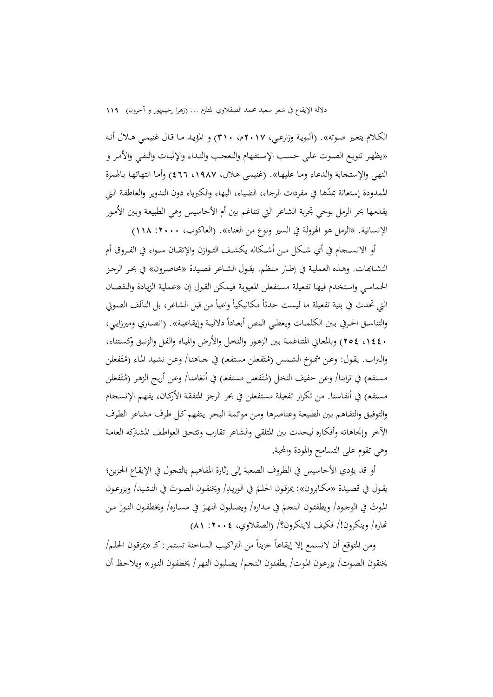الکـلام یتغـیر صـوته». (آلبویـة وزارعـي، ٢٠١٧م، ٣١٠) و المؤیـد مـا قـال غنيمـي هـلال أنـه «یظهـر تنویـع الصـوت علـي حسـب الإسـتفهام والتعجب والنـداء والإثبـات والنفـي والأمـر و النهي والإستجابة والدعاء ومـا عليهـا». (غنيمي هـلال، ١٩٨٧، ٤٦٦) وأمـا انتهائهـا بـالهمزة الممدودة إستعانة بمدّها في مفردات الرجاء، الضياء، البهاء والكبرياء دون التدوير والعاطفة التي يقدمها بحر الرمل يوحي تجربة الشاعر التي تتناغم بين أم الأحاسيس وهي الطبيعة وبين الأمور الإنسانية. «الرمل هو الهرولة في السير ونوع من الغناء». (العاكوب، ٢٠٠٠: ١١٨)

أو الانســجام في أي شـكل مـن أشـكاله يكشـف التـوازن والإتقــان سـواء في الفـروق أم التشـابهات. وهـذه العمليـة في إطـار منظم. يقـول الشـاعر قصيدة «محاصرون» في بحر الرجـز احلماسـي واسـتخدم فيهـا تفعيلـة مسـتفعلد املعيوبـة فـيمکد القـون إن »عمليـة الزیـادة والنقصـان التي تحدث في بنية تفعيلة ما ليست حدثًا مكانيكياً واعياً من قبل الشاعر، بل التألف الصوتي والتناسـق الحرفي بـين الكلمـات ويعطـي الـنص أبعـاداً دلاليـة وإيقاعيـة». (انصـاري وميرزايـي، .1440، ع٢٥٤) وبالمعـاني المتناغمـة بـين الزهـور والنخـل والأرض والميـاه والفـل والزنبـق وكسـتناء، والتراب. يقول: وعن شموخ الشمس (مُتَفعلن مستفع) في جباهنا/ وعن نشيد الماء (مُتَفعلن ن<br>ا مستفع) في ترابنا/ وعن حفيف النحل (مُتَفعلن مستفع) في أنغامنا/ وعن أريج الزهر (مُتَفعلن **ٔ** ن<br>نا مستفع) في أنفاسنا. من تكرار تفعيلة مستفعلن في بحر الرجز المتفقة الأركـان، يفهـم الإنسـحام والتوفيق والتفـاهـم بـين الطبيعـة وعناصرهـا ومـن موائمـة البحر يتفهم كـل طرف مشـاعر الطرف الآخر وإتحاهاته وأفكاره ليحدث بين المتلقى والشاعر تقارب وتتحق العواطف المشتركة العامة وهي تقوم على التسامح والمودة والمحبة.

أو قد یؤدي الأحاسيس في الظروف الصعبة إلى إثارة المفاهيم بالتحول في الإيقاع الحزين؛ يقول في قصيدة «مكابرون»: يمزقون الحلمَ في الوريدِ/ ويخنقون الصوتَ في النشيد/ ويزرعون ا Į الموتَ في الوجود/ ويطفئون النحمَ في مداره/ ويصلبون النهرَ في مسـاره/ ويخطفون النـورَ مـن ا نهاره/ وينكرون!/ فكيف لاينكرون؟/ (الصقلاوي، ١٠٠٤: ٨١)

ومن المتوقع أن لانسمع إلا إيقاعاً حزيناً من التراكيب الساخنة تستمر: كـ «يمزقون الحلم/ يخنقون الصوت/ يزرعـون المـوت/ يطفئـون النـجـم/ يصـلبون النهـر / يخطفـون النـور» ويلاحظ أن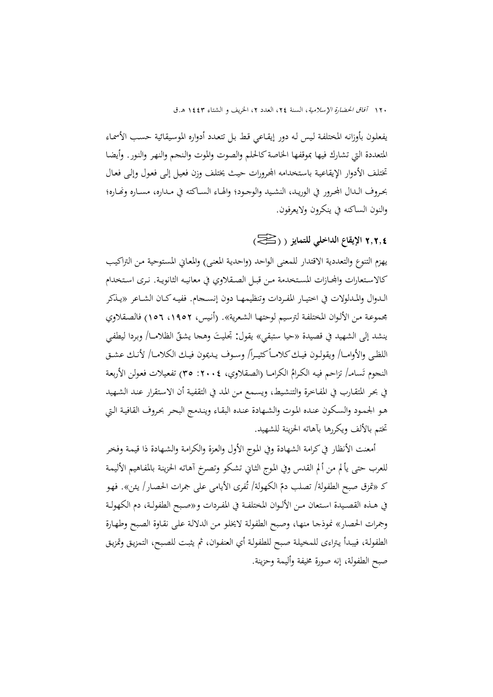يفعلون بأوزانـه المختلفـة ليس لـه دور إيقـاعي قط بـل تتعـدد أدواره الموسيقائية حسـب الأسمـاء المتعددة التي تشارك فيها بموقفها الخاصة كالحلم والصوت والموت والنحر والنهر والنور. وأيضا تختلف الأدوار الإيقاعية باستخدامه المحرورات حيث يختلف وزن فعيل إلىي فعول وإلى فعال بحروف الــدال المحرور في الوريـد، النشـيد والوجـود؛ والهـاء الســاكته في مـداره، مســاره ونحـاره؛ والنون الساكنن يف ینكرون والیعرفون.

# 2**.**2**.**4 **اإلیقاع الداخلي للتمایز ) ) (**

يهزم التنوع والتعددية الاقتدار للمعنى الواحد (واحدية المعنى) والمعايي المستوحية من التراكيب كالاسـتعارات والمحازات المستخدمة مـن قبـل الصـقلاوي في معانيـه الثانويـة. نـری اسـتخدام الـدوال والمـدلولات في اختيـار المفـردات وتنظيمهـا دون إنســجام. ففيـه كــان الشــاعر «يــذكر جموعـة مـن الألـوان المختلفـة لترسيم لوحتهـا الشعرية». (أنيس، ١٩٥٢، ١٥٦) فالصـقلاوي ينشد إلى الشهيد في قصيدة «حيا ستبقي» يقول: تجليتَ وهجا يشقّ الظلامــا/ وبردا ليطفي اللظى والأوامــا/ ويقولـون فيـك كلامــأ كثيـراً/ وسـوف يـديمون فيـك الكلامـا/ لأنـك عشـق النجوم تَسامـ/ تزاحم فيه الكـرامُ الكرامـا (الصقلاوي، ٢٠٠٤: ٣٥) تفعيلات فعولن الأربعة في بحر المتقـارب في المفـاخرة والتنشـيط، ويسـمع مـن المـد في التقفيـة أن الاستقرار عنـد الشـهيد هـو الجمـود والسكون عنده الموت والشـهادة عنده البقـاء ويندمج البحر بحروف القافيـة الـتي تختم بالألف ویكررها بآهاته الحزینة للشهید.

أمعنت الأنظار في كرامة الشهادة وفي الموج الأول والعزة والكرامة والشـهادة ذا قيمـة وفخر للعرب حتى يألم من ألم القدس وفي الموج الثـابي تشكو وتصرخ آهاتـه الحزينة بالمفـاهيم الأليمـة كـ «تمزق صبح الطفولة/ تصلب دمّ الكهولة/ تُفرى الأيامى على جمرات الحصار/ يئن». فهو في هــذه القصـيدة اسـتعان مـن الألـوان المختلفــة في المفـردات و «صـبح الطفولـة، دم الكهولـة وجمرات الحصار» نموذجـا منهـا، وصبح الطفولـة لايخلو من الدلالـة على نقـاوة الصبح وطهـارة الطفولـة، فيبـدأ يـتراءى للمخيلـة صبح للطفولـة أي العنفـوان، ثم يثبـت للصبـح، التمزيـق وتمزيـق صبح الطفولة، إنن صورة يفة وأليمة وحزینة.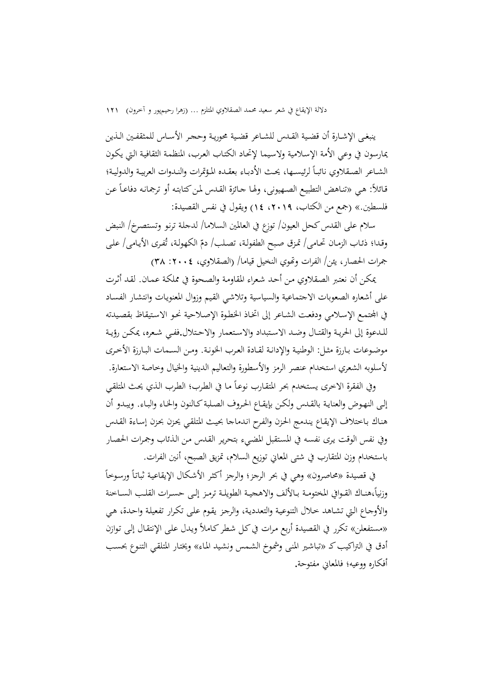ينبغـي الإشـارة أن قضية القـدس للشـاعر قضية محوريـة وحجر الأسـاس للمثقفـين الـذين يمارسون في وعي الأمة الإسلامية ولاسيما لإتحاد الكتاب العرب، المنظمـة الثقافيـة الـتي يكـون  $\overline{a}$ الشـاعر الصـقلاوي نائبـاً لرئيسـها، يحـث الأدبـاء بعقـده المؤتمرات والنـدوات العربيـة والدوليـة؛ قائلاً: هي «تناهض التطبيع الصهيوني، ولها جـائزة القـدس لمن كتابته أو ترجمانه دفاعـاً عـن فلسطين.» (جمع من الكتاب، ٢٠١٩، ١٤) ويقول في نفس القصيدة:

سلام على القدس كحل العيون/ توزع في العالمين السلاما/ لدجلة ترنو وتستصرخ/ النبض وقدا؛ ذئـاب الزمـان تحـامى/ تمـزق صبح الطفولـة، تصـلب/ دمّ الكهولـة، تُفـرى الأيـامى/ علـى جمرات الحصار، یئن/ الفرات وتموي النخيل قياما/ (الصقلاوي، ٢٠٠٤: ٣٨)

ميكـد أن نعتـرب الصـقالوي مـد أحـد شـعراء املقاومـة والصـحوة يف مملكـة عمـان. لقـد أ ـرت على أشعاره الصعوبات الاجتماعية والسياسية وتلاشى القيم وزوال المعنويات وانتشار الفساد في المحتمع الإسلامي ودفعت الشـاعر إلى اتخـاذ الخطـوة الإصـلاحية نحـو الاستيقاظ بقصيدته للـدعوة إلى الحريـة والقتـال وضـد الاسـتبداد والاسـتعمار والاحـتلال.ففـي شـعره، يمكـن رؤيـة موضوعات بـارزة مثـل: الوطنيـة والإدانـة لقـادة العـرب الخونـة. ومـن السـمات البـارزة الأخـرى لأسلوبه الشعري استخدام عنصر الرمز والأسطورة والتعاليم الدينية والخيال وخاصة الاستعارة.

وفي الفقرة الاخرى يستخدم بحر المتقارب نوعاً ما في الطرب؛ الطرب الذي يحث المتلقي إلى النهـوض والعنايـة بالقـدس ولكـن بإيقـاع الحروف الصلبة كـالنون والخـاء والبـاء. ويبـدو أن هنـاك بـاختلاف الإيقـاع يندمج الحزن والفرح اندماجا بحيث المتلقى يحزن بحزن إسـاءة القـدس وفي نفس الوقت يرى نفسه في المستقبل المضيء بتحرير القدس من الذئاب وجمرات الحصار باستخدام وزن المتقارب في شتى المعايي توزیع السلام، تمزیق الصبح، أنين الفرات.

 $\overline{a}$ في قصيدة «محاصرون» وهي في بحر الرجز؛ والرجز أكثر الأشكال الإيقاعية ثباتاً ورسوخاً  $\overline{\phantom{a}}$ وزنياً،هنــاك القــوافي المختومــة بــالألف والاهـجيــة الطويلــة ترمـز إلــى حســرات القلـب الســاخنة والأوجـاع الـتي تشـاهد خـلال التنوعيـة والتعدديـة، والرجـز يقـوم عـلـي تكـرار تفعيلـة واحـدة، هـي «مستفعلن» تكرر في القصيدة أربع مرات في كـل شطر كـاملاً ويـدل علمي الإنتقـال إلـي تـوازن أدق في التراكيب كـ «تباشير المنى وشموخ الشـمس ونشيد المـاء» ويختـار المتلقـي التنـوع بحسب أفكاره ووعيه؛ فالمعايي مفتوحة.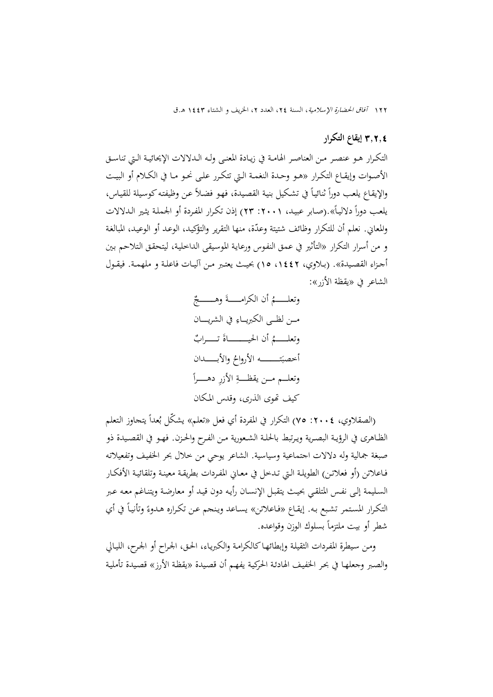#### 3**.**2**.**4 **إیقاع التكرار**

التكـرار هــو عنصــر مــن العناصــر الهامــة في زيــادة المعنــي ولــه الـــلالات الإيحائيــة الــتي تناســق الأصـوات وإيقــاع التكـرار «هـو وحـدة النغمـة الـتي تتكـرر علـي نحـو مـا في الكـلام أو البيـت والإيقاع يلعب دوراً ثنائياً في تشكيل بنية القصيدة، فهو فضلاً عن وظيفته كوسيلة للقياس،  $\overline{a}$  $\overline{a}$ يلعب دوراً دلالياً».(صـابر عبيـد، ٢٠٠١: ٢٣) إذن تكـرار المفـردة أو الجـملـة يثـير الـدلالات والمعاني. نعلم أن للتكرار وظائف شتيتة وعدّة، منها التقرير والتؤكيد، الوعد أو الوعيد، المبالغة و من أسرار التكرار «التأثير في عمق النفوس ورعاية الموسيقى الداخلية، ليتحقق التلاحم بين أجـزاء القصـيدة». (بـلاوي، ١٤٤٢، ١٥) بحيث يعتـبر مـن آليــات فاعلـة و ملهمـة. فيقـول الشاعر في «يقظة الأزر»:

 َ وتعلـ ـ ـ ـ ـ ـ ـ ـم أن الكرامـ ـ ـ ـ ـ ـ ـ ـة وهـ ــ ـ ـ ـ ـ ـ ـ ـ ـ مـ ـ ـد لظـ ـ ـ الكربیـ ـ ـاء يف الشریـــــان َ ص وتعلـ ـ ـ ـ ـ ـ ـ ـم أن احليــــــــــــــاة تـ ـ ـ ـ ـ ـ ـ ـرا ت َ أخصب ــــــــــــــ ن اعروا واعبـــــــــدان وتعلــــم مـــد یقظــــــ ة اعز ر دهـــــــ را كيف هتوی ال ری، وددك املـكان

(الصقلاوي، ٢٠٠٤: ٧٥) التكرار في المفردة أي فعل «تعلم» يشكل بُعداً يتحاوز التعلم الظــاهري في الرؤيــة البصـرية ويـرتبط بالحلــة الشـعورية مـن الفـرح والحـزن. فهـو في القصـيدة ذو صبغة جمالية وله دلالات اجتماعية وسياسية. الشاعر يوحي من خلال بحر الخفيف وتفعيلاته فـاعلاتن (أو فعلاتـن) الطويلـة الـتي تـدخل في معـايي المفـردات بطريقـة معينـة وتلقائيـة الأفكـار السـليمة إلـي نفـس المتلقـي بحيث يتقبـل الإنسـان رأيـه دون قيـد أو معارضـة ويتنـاغم معـه عـبر التكرار المستمر تشبع به. إيقاع «فاعلاتن» يساعد وينحم عن تكراره هدوءً وتأنياً في أي  $\overline{\phantom{a}}$ شطر أو بيت ملتزماً بسلوك الوزن وقواعده.

ومـن سيطرة المفردات الثقيلـة وإبطائهـا كالكرامـة والكبريـاء، الحـق، الجراح أو الجرح، الليـالي والصبر وجعلهـا في بحر الخفيف الهادئـة الحركيـة يفهـم أن قصيدة «يقظـة الأرز» قصيدة تأمليـة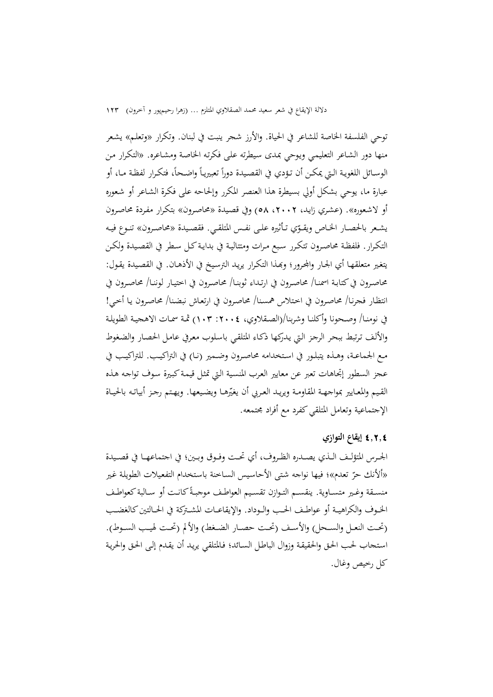توحي الفلسفة الخاصة للشاعر في الحياة. والأرز شجر ينبت في لبنان. وتكرار «وتعلـم» يشعر منها دور الشاعر التعليمي ويوحي بمدى سيطرته على فكرته الخاصة ومشاعره. «التكرار من الوسـائل اللغويـة الـتي يمكـن أن تـؤدي في القصـيدة دوراً تعبيريـاً واضـحاً، فتكـرار لفظـة مـا، أو عبارة ما، یوحی بشكل أولی بسيطرة هذا العنصر المكرر وإلحاحه على فكرة الشاعر أو شعوره أو لاشعوره». (عشري زاید، ۰۲،۰۲ هـ) وفي قصيدة «محاصرون» بتكرار مفردة محاصرون يشـعر بالحصـار الخـاص ويقـوّي تـأثيره علـى نفـس المتلقـي. فقصـيدة «محاصـرون» تنـوع فيـه التكـرار. فلفظـة محاصـرون تتكـرر سبع مـرات ومتتاليـة في بدايـة كـل سـطر في القصـيدة ولكـن يتغير متعلقهـا أي الجـار والمحرور؛ وبمذا التكـرار يريـد الترسيخ في الأذهـان. في القصـيدة يقـول: ححاصـرون في كتابـة اسمنـا/ محاصـرون في ارتـداء ثوبنـا/ محاصـرا صحاصـرون في انتظـار فجرنـا/ محاصرون في اختلاس همسنا/ محاصرون في ارتعـاش نبضـنا/ محاصرون يـا أخـي! يف نومنـا/ وصـحونا وأكلنـا وشربنا/)الصـقالوي، :2004 103( مثـة ـات االهنيـة الطو یلـة والألف ترتبط ببحر الرجز التي يدركها ذكـاء المتلقبي باسلوب معرفي عامل الحصار والضغوط مـع الجماعـة، وهـذه يتبلـور في اسـتخدامه محاصـرون وضـمير (نـا) في التراكيــب. للتراكيـب في عجز السطور إتجاهات تعبر عن معاییر العرب المنسية الـتي تمثل قيمـة كبـیرة سـوف تواجـه هـذه القيم والمعايير بمواجهـة المقاومـة ويريـد العـربي أن يغيّرهـا ويضيعها. ويهـتم رجـز أبياتـه بالحيـاة الإجتماعية وتعامل المتلقى كفرد مع أفراد مجتمعه.

#### 4**.**2**.**4 **إیقاع التوازي**

الحـرس المتؤلــف الــذي يصــدره الظـروف، أي تحـت وفـوق وبــين؛ في اجتماعهــا في قصــيدة «ألأنك حرّ تعدم»؛ فيها نواجه شتى الأحاسيس السـاخنة باستخدام التفعيلات الطويلة غير منســقة وغـير متســاوية. ينقســم التـوازن تقسـيم العواطـف موجبـةً كانـت أو ســالبة كعواطـف الخـوف والكراهيــة أو عواطـف الحـب والــوداد. والإيقاعــات المشـتركة في الحــالتين كالغضـب (تحت النعـل والسـحل) والأسـف (تحت حصـار الضـغط) والألم (تحت لهيب السـوط). استحاب لحب الحق والحقيقة وزوال الباطل السائد؛ فالمتلقى يريد أن يقدم إلى الحق والحرية كا رخيص وغان.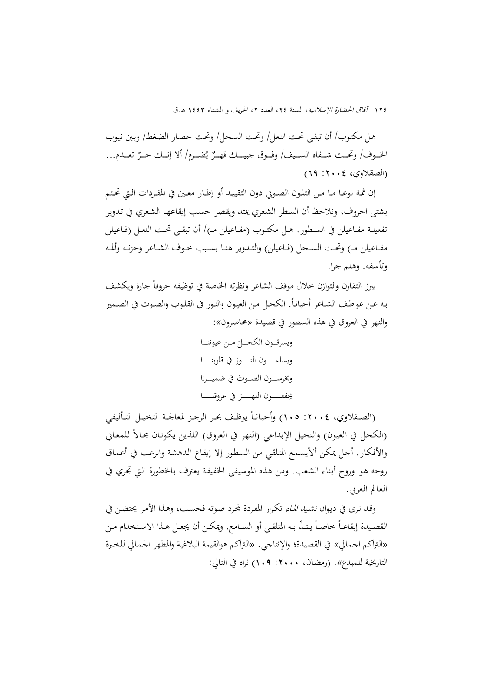هـل مكتوب/ أن تبقى تحت النعل/ وتحت السـحل/ وتحت حصـار الضغط/ وبين نيوب الخــوف/ وتحــت شـــفاه الســيف/ وفــوق جبينــك قهــرٌ يُضـــرم/ ألا إنــك حــرّ تعــدم... و<br>یہ (الصقلاوي، ٢٠٠٤: ٦٩)

إن ثمـة نوعــا مــا مـن التلـون الصـوتي دون التقييــد أو إطــار معـين في المفـردات الـتي تخـتـم بشتى الحروف، ونلاحظ أن السطر الشعري يمتد ويقصر حسب إيقاعها الشعري في تدوير تفعيلـة مفــاعيلن في الســطور. هـل مكتـوب (مفـاعيلن مــ)/ أن تبقــي تحـت النعـل (فـاعيلن مفـاعيلن مـ) وتحت السـحل (فـاعيلن) والتـدوير هنـا بسـبب خـوف الشـاعر وحزنـه وألمـه وتأسفن. وهلم جرا.

 $\overline{\phantom{a}}$ یبرز التقارن والتوازن خلال موقف الشاعر ونظرته الخاصة في توظيفه حروفاً جارة ویكشف  $\overline{\phantom{a}}$ بـه عـن عواطـف الشـاعر أحيانـاً. الكحـل مـن العيـون والنـور في القلـوب والصـوت في الضـمير والنهر في العروق في هذه السطور في قصيدة «محاصرون»:

ویسردــــون الكح َ ـ ـ ـ ـا مـــد عيوننــــا َ ویسلمـ ـ ـ ـ ـ ـ ـون النـ ـ ـ ـ ـ ـ ـور يف دلوبنـــــــا َت وخیرسـ ـ ـ ـون الصـ ـ ـو يف ميـــــرنا َ جیففــ ـ ـ ـ ـ ـ ـون النهـ ــ ـ ـ ـ ـ ـ ـر يف عرودنــــــــا

(الصـقلاوي، ٢٠٠٤: ١٠٥) وأحيانـاً يوظـف بحـر الرجـز لمعالجـة التخيـل التـأليفي (الكحل في العيون) والتخيل الإبداعي (النهر في العروق) اللذين يكونان محالاً للمعايي والأفكار. أجل يمكن ألاّيسمع المتلقى من السطور إلا إيقاع الدهشة والرعب في أعماق روحه هو وروح أبناء الشعب. ومن هذه الموسيقى الخفيفة يعترف بالخطورة التي تجري في العالم العربي.

وقد نری في ديـوان *نشـيد المـاء* تكـرار المفـردة لمحـرد صـوته فحسـب، وهـذا الأمـر يحتضـن في القصـيدة إيقاعــأ خاصــأ يلتــذّ بـه المتلقــي أو الســامع. ويمكــن أن يجعـل هــذا الاسـتخدام مــن «التراكم الجمالي» في القصيدة؛ والإنتاجي. «التراكم هوالقيمة البلاغية والمظهر الجمالي للخبرة التاريخية للمبدع». (رمضان، ٢٠٠٠: ١٠٩) نراه في التالي: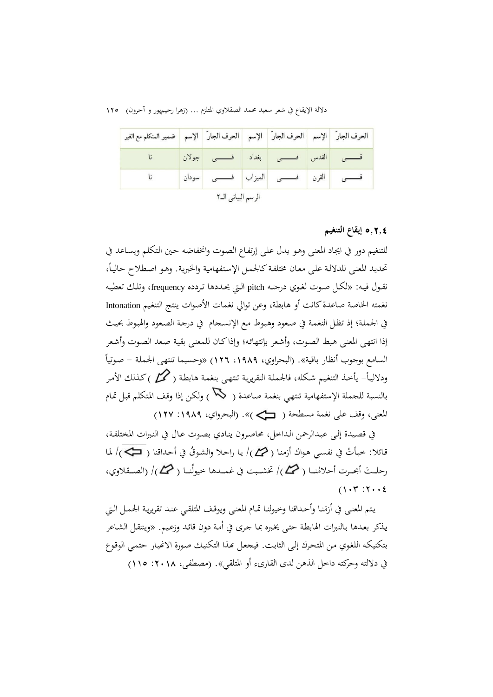دلالة الإيقاع في شعر سعيد محمد الصقلاوي المتلزم … (زهرا رحيمپور و آخرون) ١٢٥

| الحرف الجار   الإسم   الحرف الجار   الإسم   الحرف الجار   الإسم   ضمير المتكلم مع الغير |                    |                                                                                    |  |
|-----------------------------------------------------------------------------------------|--------------------|------------------------------------------------------------------------------------|--|
|                                                                                         |                    | <mark>فـــــــــى القدس فـــــــــى</mark> بغداد <mark>فـــــــــى جولان</mark> نا |  |
|                                                                                         |                    | فــــــــــى <mark>القرن فــــــــــى الميزاب فــــــــــى </mark> سودان           |  |
|                                                                                         | الرسم البياني الـ٢ |                                                                                    |  |

5**.**2**.**4 **إیقاع التنغیم**

للتنغيم دور في ايجاد المعنبي وهـو يـدل علمي إرتفـاع الصوت وانخفـاضه حـين الـتكلم ويسـاعد في تحديد المعنى للدلالة على معان مختلفة كالحمل الإستفهامية والخبرية. وهـو اصطلاح حالياً، نقـول فيـه: «لكـل صـوت لغـوي درجتـه pitch الـتي يحـددها تـردده frequency، وتلك تعطيـه نغمته الخاصة صاعدة كانت أو هابطة، وعن توالي نغمات الأصوات ينتج التنغيم Intonation في الجملة؛ إذ تظل النغمـة في صعود وهبوط مـع الإنسـجام في درجـة الصعود والهبوط بحيث إذا انتهى المعنى هبط الصوت، وأشعر بإنتهائه؛ وإذا كـان للمعنى بقية صعد الصوت وأشعر السامع بوجوب أنظار باقية». (البحراوي، ١٩٨٩، ١٢٦) «وحسبما تنتهي الجملة – صوتياً  $\cdot$ ودلاليـاً– يأخـذ التنغيم شكله، فالجملـة التقريريـة تنتهـي بنغمـة هـابطـة (  $\bm{\mathscr{D}}$  ) كـذلك الأمـر بالنسبة للحملة الإستفهامية تنتهي بنغمة صاعدة ( ) ولكن إذا وقف المتكلم قبل تمام املعن ، ودف عل نغمة مسطحة ) («. )البحرواي، :1989 127(

يف دصـيدة إلـ عبـدالراد الـداخا، حماصـرون ینـادي بصـوت عـان يف النـربات املختلفـة، قائلا: خبأتُ في نفسـي هـواك أزمنـا ( هـمــم)/ يـا راحـلا والشـوقُ في أحـداقنا ( ڪـمـم)/ لمـا رحلــتَ أبحــرت أحلامُنــا ( حمـــم)/ تخشــبت في غمـــدها خيولَنــا ( حمــم)/ (الصـــقلاوي،  $(1.7 : 7.1)$ 

يتم المعنى في أزمَنـا وأحـداقنا وخيولنـا تمـام المعنـى ويوقـف المتلقـي عنـد تقريريـة الجمـل الـتي  $\overline{\phantom{a}}$ يذكر بعدها بـالنبرات الهابطـة حتـى يخبره بمـا جـرى في أمـة دون قائد وزعيـم. «وينتقـل الشـاعر بتكنيكـه اللغوي مـن المتحرك إلى الثابت. فيجعل بمذا التكنيك صورة الانهيار حتمي الوقوع في دلالته وحركته داخل الذهن لدى القارىء أو المتلقي». (مصطفى، ٢٠١٨: ١١٥)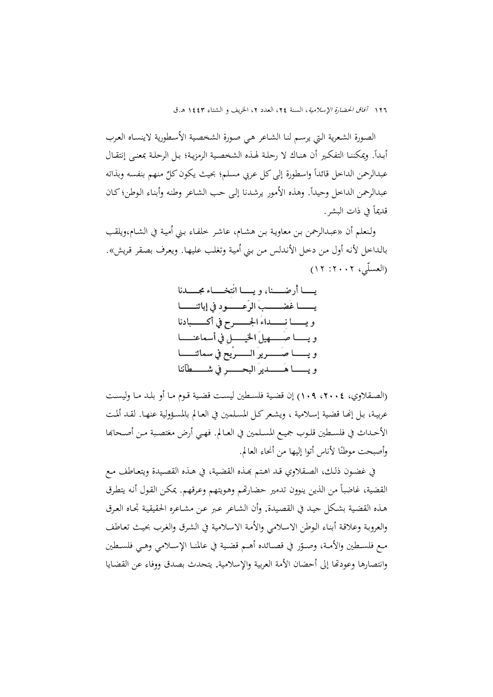الصورة الشعرية التي يرسم لنا الشـاعر هـي صورة الشخصية الأسطورية لاينسـاه العرب  $\overline{a}$ أبـداً. ويمكننـا التفكـير أن هنـاك لا رحلـة لهـذه الشخصـية الرمزيـة؛ بـل الرحلـة بمعنـي إنتقـال  $\overline{a}$ عبدالرحمن الداخل قائداً واسطورة إلى كل عربي مسلم؛ بحيث يكون كلٌّ منهم بنفسه وبذاته عبدالرحمن الداخل وحيداً. وهذه الأمور يرشدنا إلى حب الشـاعر وطنه وأبناء الوطن؛ كـان  $\overline{a}$ قديماً في ذات البشر .

ولنعلم أن «عبدالرحمن بن معاوية بن هشـام، عاشـر خلفـاء بـني أميـة في الشـام،ويلقب بالداخل لأنه أول من دخل الأندلس من بني أمية وتغلب عليهـا. ويعرف بصقر قريش». (العسلّي، ٢٠٠٢: ١٢)

> يسسا أرضسنا، ويسسا انتخساء مجسسدنا يـــــــا غَضــــــبَ الرّعــــــود في إبائنــــــا ويسسا نسسداءَ الجسسرح في أكسسبادنا ويسا صُبهيلُ الخيسلِ في أسماعنـــا ويــــــــا صــــــــــريو الـــــــــويع في سمائنــــــــا ويسسا هُسسديوُ البحسسو في شهر طآننا

(الصــقلاوي، ٢٠٠٤، ١٠٩) إن قضـية فلسـطين ليسـت قضـية قـوم مـا أو بلـد مـا وليسـت عربيـة، بـل إنّهـا قضـية إسـلامية ، ويشـعر كـل المسـلمين في العـالم بالمسـؤولية عنهـا. لقـد ألمـت الأحـداث في فلسـطين قلـوب جميـع المسـلمين في العـالم. فهـي أرض مغتصـبة مـن أصـحابها وأصبحت موطنًا لأناس أتوا إليها من أنحاء العالم.  $\ddot{\phantom{0}}$ 

في غضـون ذلـك، الصـقلاوي قـد اهـتم بمـذه القضـية، في هـذه القصـيدة ويتعـاطف مـع القضية، غاضباً من الذين ينوون تدمير حضارتهم وهويتهم وعرقهم. يمكن القول أنه يتطرق هـذه القضية بشكل جيـد في القصيدة. وأن الشـاعر عـبر عـن مشـاعره الحقيقيـة تجـاه العـرق والعروبة وعلاقة أبناء الوطن الاسلامي والأمة الاسلامية في الشرق والغرب بحيث تعاطف مـع فلسـطين والأمـة، وصـوّر في قصــائده أهــم قضـية في عالمنــا الإســلامي وهـي فلسـطين وانتصارها وعودتها إلى أحضان الأمة العربية والإسلامية. يتحدث بصدق ووفاء عن القضايا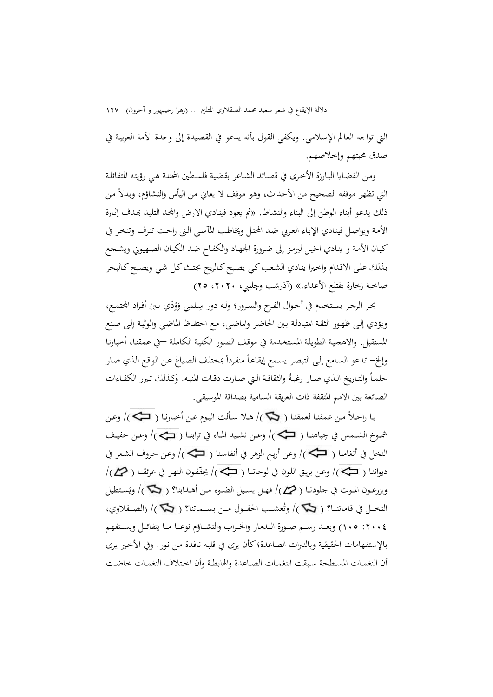التي تواجه العالم الإسلامي. ویكفي القول بأنه یدعو في القصیدة إلى وحدة الأمة العربية في صدق حمبتهم وإخالصهم.

ومـن القضـايا البـارزة الأخـرى في قصـائد الشـاعر بقضية فلسـطين المحتلة هـي رؤيتـه المتفائلـة التي تظهر موقفه الصحيح من الأحداث، وهو موقف لا يعاني من اليأس والتشاؤم، وبدلاً من ذلك يدعو أبناء الوطن إلى البناء والنشاط. «ثم يعود فينادي الارض والمحد التليد بمدف إثارة الأمة ويواصل فينادي الإباء العربي ضد المحتل ويخاطب المآسبي التي راحت تنزف وتنخر في كيـان الأمـة و ينـادي الخيـل ليرمـز إلى ضرورة الجـهـاد والكفـاح ضـد الكيـان الصـهيوين ويشـجع بـ لش علـى االدـدام واخـیا ینـادي الشـعب كـي یصـبح كـالریح جیتـ كـا شـي ویصـبح كـالبحر صاحبة زخارة یقتلع الأعداء.» (آذرشب وچلیبی، ۲۰۲۰، ۲۰)

.<br>-بحر الرجز يستخدم في أحوال الفرح والسرور؛ وله دور سِلمي وَوُدّي بين أفراد المحتمع، َ ويؤدي إلى ظهور الثقة المتبادلة بين الحاضر والماضي، مع احتفـاظ الماضي والوثبة إلى صنع املستقبا. و االهنيـة الطویلـة املسـتخدمة يف مودـف الصـور الكليـة الكاملـة –يف عمقنـا، أخبارنـا وإلخ– تدعو السامع إلى التبصر يسمع إيقاعاً منفرداً بمختلف الصياغ عن الواقع الذي صار  $\overline{a}$ حلمـاً والتـاريخ الـذي صـار رغبـةً والثقافـة الـتي صـارت دقـات المنبـه. وكـذلك تـبرر الكفـاءات الضائعة بين الامم المثقفة ذات العريقة السامية بصداقة الموسيقى.

یـا راحـلاً مـن عمقنـا لعمقنـا ( ١٣٣)/ هـلا سـألت اليـوم عـن أخبارنـا ( ١٣٣)/ وعـن شموخ الشـمس في جِباهنـا ( ܐ)/ وعـن نشـيد المـاء في ترابنـا ( ܒܐ)/ وعـن حفيـف J النخل في أنغامنا ( حَجَّـَـبَ) وعن أريج الزهر في أنفاسنا ( حَجَّـجَـبَ) وعن حروف الشعر في  $\ket{\langle\mathcal{P}\rangle}$ ديواننا (  $\Rightarrow$  )/ وعن بريق اللون في لوحاتنا (  $\Rightarrow$  )/ يجفّفون النهر في عرئقنا (  $\leftrightarrow$  )/ ويزرعــون المـوت في جلودنــا ( ��م )/ فهـل يسـيل الضــوء مـن أهــدابنا؟ ( �� )/ ويَسـتطيل ِ<br>ب النخــل في قاماتنــا؟ ( ܐ )/ وتُعشــب الحقــول مــن بســماتنا؟ ( ܐ )/ (الصــقلاوي، :2004 105( وبعـــد رســـم صـــورة الـــدمار واخلـــراص والتشـــایم نوعـــا مـــا یتفا ـــا ویســـتفهم بالإستفهامات الحقيقية وبالنبرات الصاعدة؛ كأن یری فی قلبه نافـذة مـن نـور. وفي الأخـیر یـری أن النغمـات المسطحة سبقت النغمـات الصـاعدة والهابطـة وأن اختلاف النغمـات خاضـت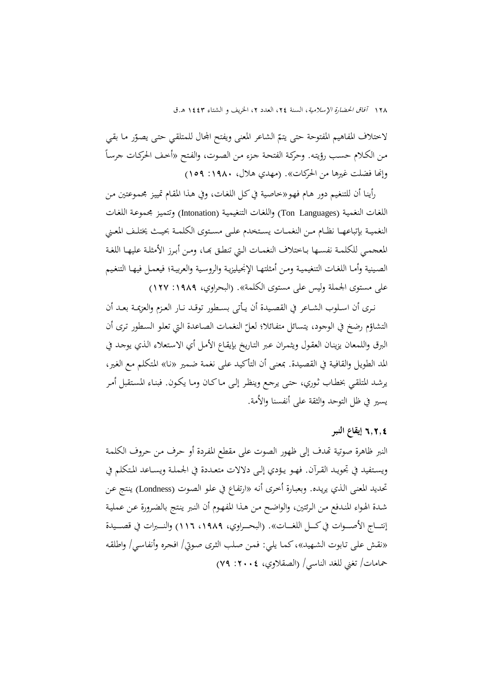لاختلاف المفاهيم المفتوحة حتى يتمّ الشاعر المعنى ويفتح المجال للمتلقي حتى يصوّر ما بقي  $\overline{a}$ مـد الكـالم حسـب رییتـن. وحركـة الفتحـة جـزء مـد الصـوت، والفـتح »أخـف احلركـات جرسـا وإنَّما فضلت غیرها من الحركات». (مهدي هلال، ۱۹۸۰: ۱۰۹)

رأينـا أن للتنغيم دور هـام فهـو«خاصـية في كـل اللغـات، وفي هـذا المقـام تمييز مجمموعتين مـن اللغات النغمية (Ton Languages) واللغات التنغيمية (Intonation) وتتميز مجموعة اللغات النغميـة بإتباعهـا نظـام مـن النغمــات يسـتخدم علــي مسـتوى الكلمــة بحيـث يختلـف المعـني المعجمـي للكلمـة نفسـها بـاختلاف النغمـات الـتي تنطـق بِحـا، ومـن أبـرز الأمثلـة عليهـا اللغـة الصـينية وأمـا اللغـات التنغيميـة ومـن أمثلتهـا الإنجيليزيـة والروسـية والعربيـة؛ فيعمـل فيهـا التنغيم علي مستوى الجملة وليس على مستوى الكلمة». (البحراوي، ١٩٨٩: ١٢٧)

نـری أن اسـلوب الشــاعر في القصـيدة أن يـأتي بسـطور توقـد نــار العـزم والعزيمـة بعـد أن التشاؤم رضخ في الوجود، يتسائل متفائلا؛ لعلّ النغمات الصاعدة التي تعلو السطور ترى أن البرق واللمعان يزينـان العقول ويثمـران عـبر التـاريخ بإيقـاع الأمـل أي الاستعلاء الـذي يوجـد في المد الطويل والقافية في القصيدة. بمعنى أن التأكيد على نغمة ضمير «نا» المتكلم مع الغير، يرشـد المتلقـي بخطـاب ثـوري، حتـى يرجـع وينظـر إلـى مـاكـان ومـا يكـون. فبنـاء المستقبل أمـر يسير في ظل التوحد والثقة على أنفسنا والأمة.

## 6**.**2**.**4 **إیقاع النبر**

النبر ظاهرة صوتية تهدف إلى ظهور الصوت على مقطع المفردة أو حرف من حروف الكلمة ویستفيد في تحويـد القـرآن. فهـو يـؤدي إلـى دلالات متعـددة في الحملـة ويسـاعد المتكلم في تحديد المعنى الذي يريده. وبعبارة أخرى أنه «ارتفاع في علو الصوت (Londness) ينتج عن شـدة الهواء المندفع مـن الرئتين، والواضـح مـن هـذا المفهوم أن النـبر ينتج بالضرورة عـن عمليـة إنتـــاج الأصـــوات في كـــل اللغـــات». (البحـــراوي، ١٩٨٩، ١١٦) والنـــبرات في قصـــيدة «نقش على تـابوت الشـهيد»، كمـا يلي: فمـن صلب الثري صوتي/ افجره وأنفاسي/ واطلقه حمامات/ تغني للغد الناسي/ (الصقلاوي، ٢٠٠٤: ٧٩)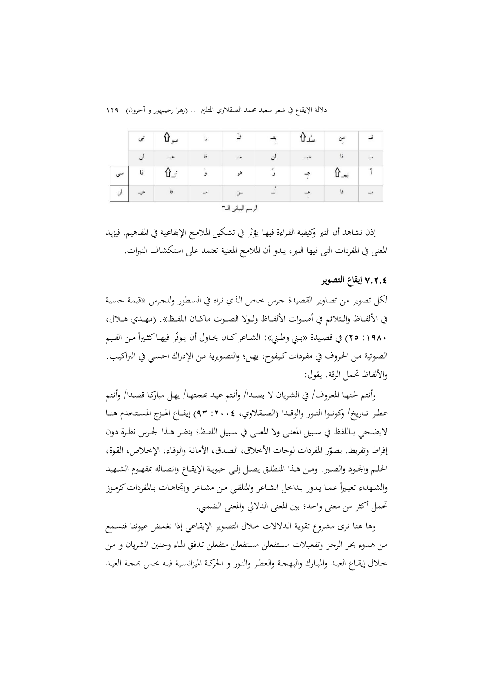|    | صو |               | ث  |  | مى:   |  |
|----|----|---------------|----|--|-------|--|
|    |    | فا            | ت  |  | فا    |  |
| فا | أز | و             | هو |  | فجـ د |  |
|    | فا | $\rightarrow$ |    |  | فا    |  |

إذن نشاهد أن النبر وكيفية القراءة فيهـا يؤثر في تشكيل الملامـح الإيقاعيـة في المفـاهيـم. فيزيـد المعنى في المفردات التي فيها النبر، يبدو أن الملامح المعنية تعتمد على استكشاف النبرات.

## 7**.**2**.**4 **إیقاع التصویر**

لكل تصوير من تصاوير القصيدة جرس خـاص الذي نراه في السطور وللجرس «قيمة حسية في الألفــاظ والـتلائم في أصــوات الألفــاظ ولــولا الصــوت ماكــان اللفــظ». (مهـدي هــلال، ٤١٩٨٠ م7) في قصيدة «بني وطني»: الشـاعر كـان يحـاول أن يـوفّر فيهـا كثـيراً مـن القـيم الصوتية من الحروف في مفردات كيفوح، يهل؛ والتصويرية من الإدراك الحسبي في التراكيب. والألفاظ تحمل الرقة. يقول:

وأنتم لحنهـا المعزوف/ في الشريان لا يصـدا/ وأنتم عيد بمجتهـا/ يهـل مباركـا قصدا/ وأنتم عطـر تــاريخ/ وكونــوا النــور والوقــدا (الصــقلاوي، ٤٠٠٤: ٩٣) إيقــاع الهـزج المسـتخدم هنــا لايضـحي بـاللفظ في سـبيل المعنــي ولا المعنــي في سـبيل اللفـظ؛ ينظـر هـذا الجـرس نظـرة دون إفراط وتفريط. يصوّر المفردات لوحات الأخلاق، الصدق، الأمانة والوفاء، الإخلاص، القوة، الحلـم والحـود والصـبر. ومـن هـذا المنطلـق یصـل إلـى حيويـة الإيقـاع واتصـاله بمفهـوم الشـهيد  $\overline{a}$ والشـهداء تعبـيراً عمـا يـدور بـداخل الشـاعر والمتلقـي مـن مشـاعر وإتجاهـات بـالمفردات كرمـوز تحمل أكثر من معنى واحد؛ بين المعنى الدلالي والمعنى الضمني.

وهـا هنـا نری مشروع تقويـة الـدلالات خـلال التصویر الإيقـاعي إذا نغمض عيوننـا فنسـمع من هـدوء بحر الرجز وتفعيلات مستفعلن مستفعلن متفعلن تـدفق الماء وحنين الشريان و من خـلال إيقـاع العيـد والمبـارك والبهجـة والعطـر والنـور و الحركـة الميزانسـية فيـه نحـس بمجـة العيـد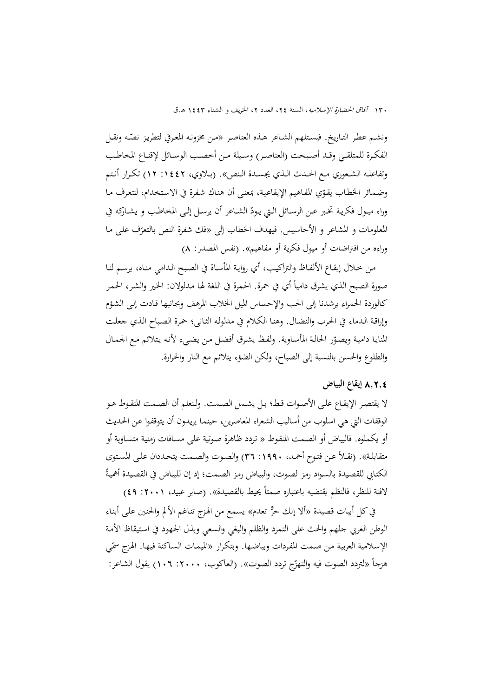١٣٠ آفاق الحضارة الإسلامية، السنة ٢٤، العدد ٢، الخريف و الشتاء ١٤٤٣ هـ.ق

ونشـم عطـر التـاريخ. فيسـتلهم الشـاعر هـذه العناصـر «مـن مخزونـه المعـرفي لتطريـز نصّـه ونقـل الفكـرة للمتلقـى وقـد أصـبحت (العناصـر) وسـيلة مـن أخصـب الوسـائل لإقنـاع المخاطـب وتفاعلـه الشـعوري مـع الحـدث الـذي يجسـدة الـنص». (بـلاوي، ١٤٤٢: ١٢) تكـرار أنـتم وضمائر الخطاب يقوّي المفاهيم الإيقاعية، بمعنى أن هناك شفرة في الاستخدام، لنتعرف مـا وراء ميـول فكريـة تخـبر عـن الرســائل الـتي يـودّ الشــاعر أن يرسـل إلـى المخاطـب و يشــاركه في المعلومات و المشاعر و الأحاسيس. فيهدف الخطاب إلى «فك شفرة النص بالتعرّف على مـا<br>-وراءه من افتراضات أو ميول فكرية أو مفاهيم». (نفس المصدر: ٨)

مـن خـلال إيقـاع الألفـاظ والتراكيب، أي روايـة المأسـاة في الصبح الـدامي منـاه، يرسـم لنـا صورة الصبح الذي يشرق دامياً أي في حمرة. الحمرة في اللغة لها مدلولان: الخير والشر، الحمر كالوردة الحمراء يرشدنا إلى الحب والإحساس الميل الخلاب المرهف وبجانبها قادت إلى الشؤم وإراقـة الـدماء في الحرب والنضـال. وهنـا الكـلام في مدلولـه الثـاني؛ حمرة الصباح الـذي جعلت المنايا دامية ويصـوّر الحالـة المأسـاوية. ولفـظ يشـرق أفضـل مـن يضـيء لأنـه يتلائم مـع الجمـال والطلوع والحسن بالنسبة إلى الصباح، ولكن الضؤء يتلائم مع النار والحرارة.

#### 8**.**2**.**4 **إیقاع البیاض**

لا يقتصر الإيقــاع علـى الأصـوات قـط؛ بـل يشـمل الصـمت. ولـنعلم أن الصـمت المنقـوط هـو الوقفات التي هي اسلوب من أساليب الشعراء المعاصرین، حينمـا یریـدون أن یتوقفـوا عـن الحـدیث أو یكملوه. فالبياض أو الصمت المنقوط « تردد ظاهرة صوتية على مسـافات زمنية متسـاوية أو متقابلـة». (نقـلاً عـن فتـوح أحمـد، ١٩٩٠: ٣٦) والصـوت والصـمت يتحـددان علـى المستوى الكتـابي للقصيدة بالسـواد رمز لصـوت، والبيـاض رمز الصـمت؛ إذ إن للبيـاض في القصـيدة أهميةً لافتة للنظر، فالنظم يقتضيه باعتباره صمتاً يحيط بالقصيدة». (صابر عبيد، ٢٠٠١: ٤٩)

في كل أبيات قصيدة «ألا إنك حرٌّ تعدم» يسمع من الهزج تناغم الألم والحنين على أبناء الوطن العربي جلهم والحث على التمرد والظلم والبغي والسعي وبذل الجهود في استيقاظ الأمة الإسلامية العربية من صمت المفردات وبياضها. وبتكرار «الميمات الساكنة فيها. الهزج سمّى هزجاً «لتردد الصوت فيه والتهزّج تردد الصوت». (العاكوب، ٢٠٠٠، ٢٠١٦) يقول الشاعر:<br>.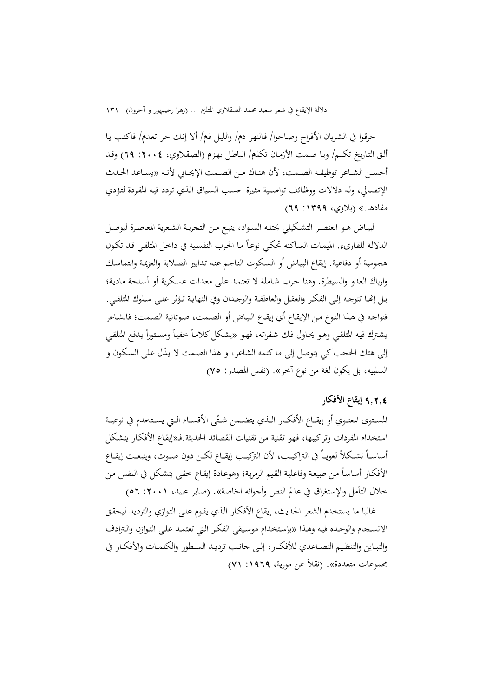حردـوا يف الشـریان اعفـرا وصـاحوا/ فـالنهر د**م**/ والليـا فـ**م**/ أال إنـش حـر تعـد**م**/ فاكتـب یـا ألق التـاريخ تكلـم/ ويـا صـمت الأزمـان تكلـم/ الباطل يهـزم (الصـقلاوي، ٢٠٠٤: ٦٩) وقـد أحسـن الشـاعر توظيفـه الصـمت، لأن هنـاك مـن الصـمت الإيجـابي لأنـه «يسـاعد الحـدث الإتصـالي، ولـه دلالات ووظـائف تواصلية مثيرة حسب السياق الـذي تردد فيه المفردة لتؤدي مفادها.» (بلاوى، ١٣٩٩: ٦٩)

البيـاض هـو العنصـر التشـكيلي يحتلـه السـواد، ينبـع مـن التحربـة الشعرية المعاصـرة ليوصـل الدلالة للقـارىء. الميمـات السـاكنة تحكـي نوعـاً مـا الحـرب النفسـية في داخـل المتلقـي قـد تكـون هجومية أو دفاعية. إيقاع البيـاض أو السكوت النـاجم عنه تـدابير الصـلابة والعزيمة والتماسك وارباك العدو والسيطرة. وهنا حرب شـاملة لا تعتمـد علمي معدات عسكرية أو أسلحة مادية؛ بـل إنّهـا تتوجـه إلـى الفكـر والعقـل والعاطفـة والوجـدان وفي النهايـة تـؤثر علـى سـلوك المتلقـى. فنواجـه في هـذا النـوع مـن الإيقـاع أي إيقـاع البيـاض أو الصـمت، صـوتانية الصـمت؛ فالشـاعر يشترك فيه المتلقي وهـو يحـاول فـك شفراته، فهـو «يشكل كلامـاً خفيـاً ومسـتوراً يـدفع المتلقـي  $\overline{a}$ إلى هتك الحجب كي يتوصل إلى ماكتمه الشاعر، و هذا الصمت لا يدّل على السكون و السلبية، بل یکون لغة من نوع آخر». (نفس المصدر: ٧٥)

## 9**.**2**.**4 **إیقاع األفكار**

المستوى المعنـوي أو إيقــاع الأفكـار الــذي يتضــمن شـتّـى الأقســام الـتي يسـتخدم في نوعيـة استخدام المفردات وتراكيبها، فهو تقنية من تقنيات القصائد الحديثة.فـ«إيقـاع الأفكـار يتشكل أساسـاً تشـكلأ لغويـاً في التراكيـب، لأن التركيـب إيقــاع لكـن دون صـوت، وينبعــث إيقــاع الأفكـار أساسـأ من طبيعة وفاعلية القيم الرمزية؛ وهوعـادة إيقـاع خفـي يتشكل في النفس مـن خلال التأمل والإستغراق في عالم النص وأجوائه الخاصة». (صابر عبيد، ٢٠٠١ : ٥٦)

غالبا ما یستخدم الشعر الحدیث، إیقاع الأفكار الذي یقوم علم التوازي والتردید لیحقق الانسـجام والوحـدة فيـه وهـذا «بإستخدام موسيقى الفكر الـتي تعتمـد علـي التـوازن والـترادف والتبـاين والتنظـيم التصــاعدي للأفكــار، إلـي جانـب ترديـد السـطور والكلمــات والأفكـار في جمموعات متعددة«. )نقال عد موریة، :1969 71(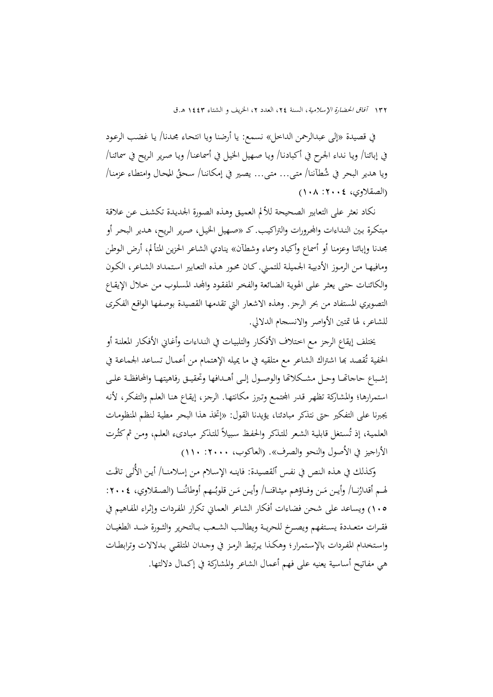في قصيدة «إلى عبدالرحمن الداخل» نسمع: یا أرضنا ویا انتحاء مجدنا/ یا غضب الرعود في إبائنا/ ویـا نـداء الجـرح في أكبادنـا/ ویـا صـهيل الخيـل في أسماعنـا/ ویـا صریر الـریح في سمائنـا/ حـان وامتطـاء عزمنـا/ ویا هدیر البحر في شُطآننا/ متـى... متـى... یصـیر في إمكاننـا/ سـحقُ الم )الصقالوي، :2004 108(

نكاد نعثر على التعابير الصحيحة للألم العميق وهذه الصورة الجديدة تكشف عن علاقة مبتكرة بـين النـداءات والمحرورات والتراكيب. كــ «صـهيل الخيـل، صـرير الـريح، هـدير البحـر أو جحدنا وإبائنا وعزمنا أو أسماع وأكباد وسماء وشطآن» ينادي الشاعر الحزين المتألم، أرض الوطن ومافيهـا مـن الرمـوز الأدبيـة الجـميلـة للتمـني. كـان محـور هـذه التعـابير استمداد الشـاعر، الكـون والكائنات حتبي يعثر على الهوية الضـائعة والفخر المفقود والمحد المسلوب مـن خـلال الإيقـاع التصويري المستفاد من بحر الرجز. وهذه الاشعار التي تقدمها القصيدة بوصفها الواقع الفكرى للشاعر، لها تمتين الأواصر والانسحام الدلالي.

يختلف إيقاع الرجز مـع اختلاف الأفكـار والتلبيـات في النـداءات وأغـابي الأفكـار المعلنـة أو الحفية تُقصد بما اشتراك الشاعر مع متلقيه في ما يميله الإهتمام من أعمـال تسـاعد الجماعـة في إشباع حاجاتهـا وحـل مشـكلاتما والوصـول إلـى أهـدافها وتحقيـق رفاهيتهـا والمحافظـة علـى استمرارها؛ والمشاركة تظهر قدر المحتمع وتبرز مكانتهـا. الرجز، إيقـاع هنـا العلـم والتفكر، لأنه يجيرنا على التفكير حتى نتذكر مبادئنا، يؤيدنا القول: «إتخذ هذا البحر مطية لـنظم المنظومـات العلمية، إذ تُستغل قابلية الشعر للتذكر والحفظ سبيلاً للتذكر مبـادىء العلـم، ومـن ثم كثُرت الأراجيز في الأصول والنحو والصرف». (العاكوب، ٢٠٠٠: ١١٠)

وكـذلك في هـذه النص في نفس ٱلقصيدة: فاينـه الإسلام من إسلامنــا/ أيـن الألـى تاقَت َ لهـم أقدارُنــا/ وأيـن مَـن وفــاؤهم ميثـاقنــا/ وأيـن مَـن قلوبُــهم أوطانُنــا (الصـقلاوي، ٢٠٠٤:  $\overline{\phantom{a}}$  $\overline{\phantom{a}}$ 105( ویساعد عل شحد فضاءات أفكار الشاعر العماين تكرار املفـردات وإ ـراء املفـاهيم يف فقــرات متعــددة یســتفهم ویصــرش للحریــة ویطالــب الشــعب بــالتحریر والثــورة ــد الطغيــان واستخدام المفردات بالإستمرار؛ وهكذا يرتبط الرمز في وحدان المتلقى بدلالات وترابطـات هي مفاتيح أساسية يعنيه على فهم أعمال الشاعر والمشاركة في إكمال دلالتها.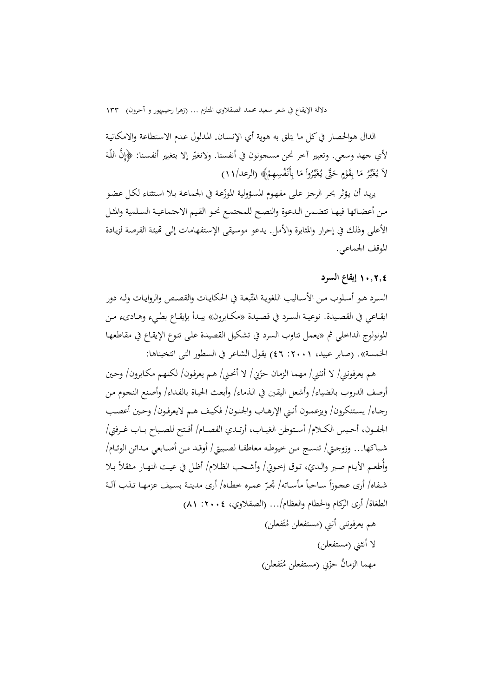الدال هوالحصار في كل ما يتلق به هوية أي الإنسـان. المـدلول عـدم الاستطاعة والامكانيـة لأي جهد وسعي. وتعبير آخر نحن مسجونون في أنفسنا. ولانغيّر إلا بتغيير أنفسنا: ﴿إِنَّ اللَّهَ َ  $\int$ إ لَا يُغَيِّرُ مَا بِقَوْمٍ حَتَّى يُغَيِّرُواْ مَا بِأَنْفُسِهِمْ﴾ (الرعد/١١)  $\overline{\phantom{a}}$ َ **ٍ** ْ با ا<br>ا <sup> $\mathfrak{c}$ </sup>

يريد أن يؤثر بحر الرجز على مفهوم المسؤولية الموزّعة في الجماعة بـلا استثناء لكـل عضو من أعضـائها فيهـا تتضـمن الـدعوة والنصـح للمحتمـع نحـو القيم الاجتماعيـة السـلمية والمثـل الأعلى وذلك في إحرار والمثابرة والأمل. يدعو موسيقى الإستفهامات إلى تهيئة الفرصة لزيادة الموقف الجماعي.

## 10**.**2**.**4 **إیقاع ال رد**

السـرد هـو أسـلوب مـن الأسـاليب اللغويـة المتّبعـة في الحكايـات والقصـص والروايـات ولـه دور ایقـاعي في القصـيدة. نوعيـة السـرد في قصـيدة «مكــابرون» يبـدأ بإيقــاع بطـيء وهــاديء مـن المونولوج الداخلي ثم «يعمل تناوب السرد في تشكيل القصيدة علمي تنوع الإيقاع في مقاطعهـا الخمسة». (صابر عبيد، ٢٠٠١: ٤٦) يقول الشاعر في السطور التي انتخبناها:

هم يعرفونني/ لا أنثني/ مهما الزمان حزّني/ لا أنحني/ هـم يعرفون/ لكنهم مكـابرون/ وحـين أرصف الدروب بالضياء/ وأشعل اليقين في الذماء/ وأبعث الحياة بالفداء/ وأصنع النحوم من رجـاء/ يستنكرون/ ويزعمـون أنـني الإرهـاب والحنـون/ فكيـف هـم لايعرفـون/ وحـين أعصب الجفـون، أحـبس الكــلام/ أسـتوطن الغيــاب، أرتــدي الفصــام/ أفـتح للصـباح بــاب غـرفتي/ شباكها... وزوجتي/ تنسج مـن خيوطـه معاطفـا لصبيتي/ أوقـد مـن أصـابعي مـدائن الوئـام/ وأطعم الأيام صبر والديّ، توق إخوتي/ وأشـحب الظلام/ أظل في عيت النهـار مثقلاً بـلا  $\overline{a}$ شفاه/ أری عحوزاً سـاحباً مأسـاته/ تحرّ عمـره خطـاه/ أری مدینـة بسـيف عزمهـا تـذب آلـة الطغاة/ أرى الركام والحطام والعظام/... (الصقلاوي، ٢٠٠٤: ٨١) هم يعرفوننى أنني (مستفعلن مُتَفعلن) **ٔ** ت لا أنثني (مستفعلن) مهما الزمانُ حزّيي (مستفعلن مُتَفعلن) ت

ن<br>ا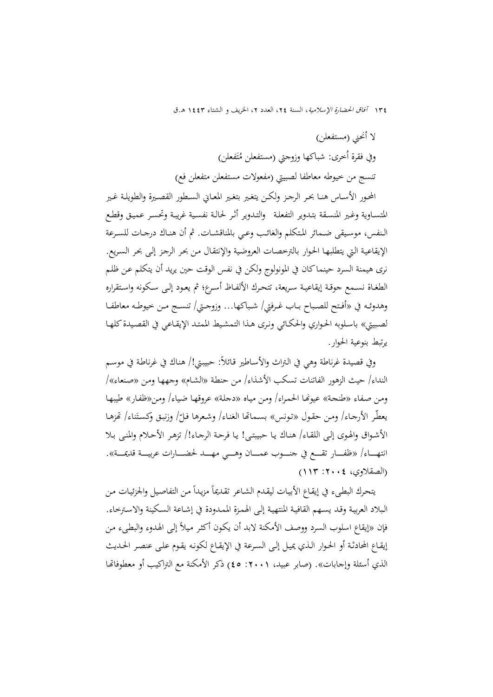لا أنحني (مستفعلن) وفي فقرة أخرى: شباكها وزوجتي (مستفعلن مُتَفعلن) ت تنسج من خيوطه معاطفا لصبيتي (مفعولات مستفعلن متفعلن فع)

المحور الأسـاس هنـا بحـر الرجـز ولكـن یتغـیر بتغـیر المعـاين السـطور القصـيرة والطويلـة غـير المتسـاویة وغـیر المنسـقة بتـدویر التفعلـة والتـدویر أثـر لحـالـة نفسـية غریبـة وتحسـر عـميـق وقطـع الـنفس، موسـيقى ضـمائر المتكلم والغائب وعـي بالمناقشـات. ثم أن هنـاك درجـات للسـرعة الإيقاعية التي يتطلبها الحوار بالترخصات العروضية والإنتقال من بحر الرجز إلى بحر السريع. نری هيمنة السرد حينما كان في المونولوج ولكن في نفس الوقت حين يويد أن يتكلم عن ظلم الطغـاة نسـمع جوقـة إيقاعيــة سـريعة، تتحـرك الألفـاظ أسـرع؛ ثم يعـود إلــى سـكونه واسـتقراره وهدوئـه في «أفـتح للصـباح بـاب غـرفتي/ شـباكها... وزوجـتي/ تنسـج مـن خيوطـه معاطفـا لصبيق» باسلوبه الحواري والحكـائي ونري هـذا التمشيط الممتـد الإيقـاعي في القصيدة كلهـا یرتبط بنوعية الحوار.

وفي قصيدة غرناطة وهي في التراث والأساطير قائلاً: حبيبتي!/ هناك في غرناطة في موسم النداء/ حيث الزهور الفاتنات تسكب الأشذاء/ من حنطة «الشـام» وجهها ومن «صنعاء»/ ومن صفاء «طنحة» عيونما الحمراء/ ومن مياه «دجلة» عروقها ضياء/ ومن«ظفار» طيبها يعطّر الأرجاء/ ومن حقول «تونس» بسمامًا الغناء/ وشعرها فلّ'/ وزنبق وكستَناء/ تَمزهـا <u>بہ</u> الأشـواق والهوى إلـى اللقـاء/ هنـاك يـا حبيبتـي! يـا فرحـة الرجـاء!/ تزهـر الأحـلام والمنـي بـلا انتهــــاء/ «ظفــــار تقــــع في جنــــوب عمــــان وهــــي مهــــد لحضــــارات عربيــــة قديمـــة». )الصقالوي، :2004 113(

يتحرك البطيء في إيقاع الأبيات ليقدم الشاعر تقديماً مزيداً من التفاصيل والجزئيات من  $\overline{a}$ البلاد العربيـة وقـد يسـهم القافيـة المنتهيـة إلـى الهمـزة الممـدودة في إشـاعة السـكينة والاسـترخاء. فإن «إيقاع اسلوب السرد ووصف الأمكنة لابد أن يكون أكثر ميلاً إلى الهدوء والبطيء من إيقـاع المحادثـة أو الحـوار الـذي يميـل إلـى السـرعة في الإيقـاع لكونـه يقـوم علـى عنصـر الحـديث الذي أسئلة وإجابات». (صابر عبيد، ١٠٠١: ٤٥) ذكر الأمكنة مع التراكيب أو معطوفاتها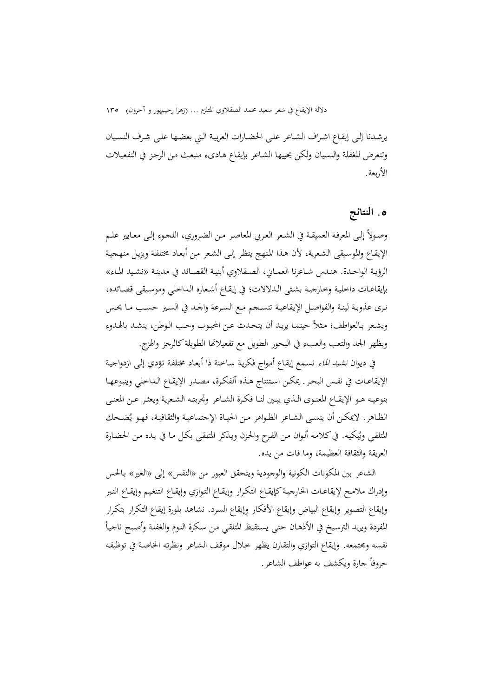يرشدنا إلـي إيقـاع اشـراف الشـاعر علـي الحضـارات العربيـة الـتي بعضـها علـي شـرف النسـيان وتتعرض للغفلة والنسيان ولكن يحييها الشـاعر بإيقـاع هـادىء منبعث من الرجز في التفعيلات الأربعة.

## **.**5 **النتا ج**

وصـولاً إلـى المعرفـة العميقـة في الشـعر العـربي المعاصـر مـن الضـروري، اللـجـوء إلـى معـايير علـم الإيقـاع والموسيقى الشعرية، لأن هـذا المنهج ينظر إلـى الشعر من أبعـاد مختلفـة ويزيـل منهجيـة الرؤيـة الواحـدة. هنـدس شـاعرنا العمـايي، الصـقلاوي أبنيـة القصـائد في مدينـة «نشـيد المـاء» بإيقاعـات داخليـة وخارجيـة بشتى الـدلالات؛ في إيقـاع أشـعاره الـداخلي وموسيقى قصـائده، نري عذوبـة لينـة والفواصـل الإيقاعيـة تنسـجم مـع السـرعة والجـد في السـير حسـب مـا يحـس ويشعر بـالعواطف؛ مثلاً حينمـا يريـد أن يتحـدث عـن الحبـوب وحـب الـوطن، ينشـد بالهـدوء ويظهر الجد والتعب والعبء في البحور الطویل مع تفعيلاتها الطويلة كالرجز والهزج.

في دیوان *نشيد الماء* نسـمع إیقـاع أمـواج فكريـة سـاخنة ذا أبعـاد مختلفـة تـؤدي إلـى ازدواجيـة الإيقاعـات في نفـس البحر. يمكـن استنتاج هـذه ٱلفكرة، مصـدر الإيقـاع الـداخلي وينبوعهـا بنوعيـه هـو الإيقــاع المعنـوی الــذي يبـين لنــا فكـرة الشــاعر وتجربتـه الشـعرية ويعثـر عــن المعنــي الظـاهر. لايمكـن أن ينســى الشــاعر الظـواهر مـن الحيــاة الإجتماعيـة والثقافيـة، فهـو يُضـحك و<br>یہ المتلقي ويُبكيه. في كلامه ألوان من الفرح والحزن ويذكر المتلقي بكل مـا في يـده مـن الحضـارة العریقة والثقافة العظیمة، وما فات من یده.

الشاعر بين المكونات الكونية والوجودية ويتحقق العبور من «النفس» إلى «الغير» بـالحس وإدراك ملامـح لإيقاعـات الخارجيـة كإيقـاع التكـرار وإيقـاع التـوازي وإيقـاع التنغيم وإيقـاع النـبر وإیقاع التصویر وإیقاع البیاض وإیقاع الأفكار وإیقاع السرد. نشاهد بلورة إیقاع التكرار بتكرار  $\overline{\phantom{a}}$ المفردة ويريد الترسيخ في الأذهـان حتـي يستقيظ المتلقـي مـن سكرة النـوم والغفلـة وأصبح ناجيـاً نفسه ومجتمعه. وإيقاع التوازي والتقارن يظهر حـلال موقف الشـاعر ونظرتـه الخـاصـة في توظيفـه  $\overline{a}$ حروفاً جارة ویكشف به عواطف الشاعر .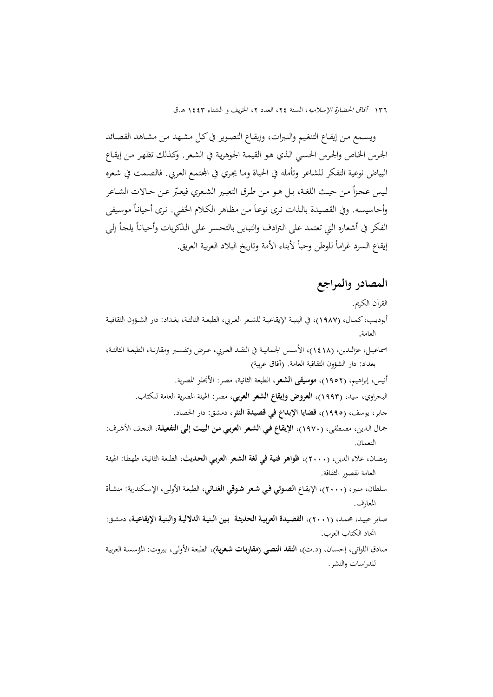ویسـمع مـن إيقـاع التنغيـم والنـبرات، وإيقـاع التصـویر في كـل مشـهد مـن مشـاهد القصـائد الحرس الخاص والحرس الحسى الذي هو القيمة الجوهرية في الشعر. وكـذلك تظهر من إيقـاع البياض نوعية التفكر للشاعر وتأمله في الحياة ومـا يجري في المحتمـد العربي. فالصـمت في شـعره ليس عجزاً من حيث اللغة، بل هـو مـن طـرق التعبـير الشـعري فيعـبّر عـن حـالات الشـاعر وأحاسيسه. وفي القصيدة بالذات نرى نوعـاً من مظاهر الكلام الخفـي. نرى أحيانـاً موسيقى الفكر في أشعاره التي تعتمد على الترادف والتباين بالتحسر على الذكريات وأحياناً يلحأ إلى  $\overline{a}$ إيقاع السرد غراماً للوطن وحباً لأبناء الأمة وتاريخ البلاد العربية العريق.

## **المصادر والمراجع**

للدراسات والنشر.

القرآن الكر مي. أبوديـب، كمــال، (١٩٨٧)، في البنيــة الإيقاعيــة للشـعر العـربي، الطبعــة الثالثــة، بغـداد: دار الشــؤون الثقافيــة العامة. اسماعيـل، عزالـدين، (١٤١٨)، الأسـس الجماليـة في النقـد العـربي، عـرض وتفسـير ومقارنـة، الطبعـة الثالثـة، بغداد: دار الشؤون الثقافية العامة. (آفاق عربية) أنيس، إبراهيم، (١٩٥٢)، **موسيقى الشعر**، الطبعة الثانية، مصر: الأنجلو المصرية. البحراوي، سيد، )1993(، **العروض و إیقاع الشعر العربي**، مصر: اهليئة املصریة العامة للكتاص. جابر، یوسف، )1995(، **قضایا اإلبداع في قصیدة النثر**، دمشك: دار احلصاد. جمال الدین، مصطفى، (١٩٧٠)، الإيقاع في ا**لشعر العرب**ي من البيت إلى التفعيلة، النحف الأشرف: النعمان. رمضان، علاء الدین، (٢٠٠٠)، **ظواهر فنیة في لغة الشعر العربي الحدیث**، الطبعة الثانية، طهطا: الهيئة العامة لقصور الثقافة. سلطان، منير، (٢٠٠٠)، الإيقـاع **الصـوتي في شعر شـوقي الغنـائي**، الطبعة الأولـي، الإسكندرية: منشـأة المعارف. صـابر عبيـد، محمـد، (٢٠٠١)، القصـيدة العربيـة الحديثـة بـين البنيـة اللـلاليـة والبنيـة الإيقاعيـة، دمشـق: اتحاد الكتاب العرب. صادق اللواتي، إحسـان، (د.ت)، **النقد النصبي (مقاربات شعرية)**، الطبعة الأولى، بيروت: المؤسسة العربية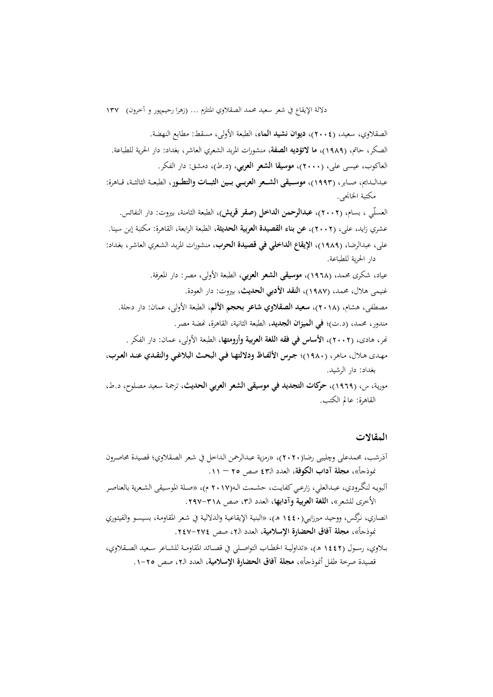الصقلاوي، سعيد، (٢٠٠٤)، **ديوان نشيد الماء**، الطبعة الأولى، مسقط: مطابع النهضة. الصكر، حامت، )1989(، **ما التؤدیه الصفة**، منشورات املربد الشعري العاشر، بغداد: دار احلریة للطباعة. العاكوب، عيس<sub>ى</sub> علي، (٢٠٠٠)، م**وسيقا الشعر العربي**، (د.ط)، دمشق: دار الفكر. عبدالــدايم، صــابر، (١٩٩٣)، **موســيقي الشــعر العربــي بــين الثبـــات والتطــور**، الطبعــة الثالثــة، قــاهرة: مكتبة الخانجي. العسلّي ، بسام، (٢٠٠٢)، **عبدالرحمن الداخل (صقر قریش)**، الطبعة الثامنة، بیروت: دار النفائس. عشري زايد، علي، (٢٠٠٢)، عن بناء ا**لقصيدة العربية الحديثة**، الطبعة الرابعة، القاهرة: مكتبة إبن سينا. علي، عبدالرضا، (١٩٨٩)، الإيقاع ا**لداخلي في قصيدة الحرب**، منشورات المربد الشعري العاشر، بغداد: دار احلریة للطباعة. عياد، شكری حممد، )1968(، **موسیقی الشعر العربي**، الطبعة اعول ، مصر: دار املعرفة. غنيمي هلال، محمد، (۱**۹۸۷)، النقد الأدبي الحدیث**، بیروت: دار العودة. مصطفى، هشام، (٢٠١٨)، **سعيد الصقلاوي شاعر بحجم الألم**، الطبعة الأولى، عمان: دار دجلة. مندور، محمد، (د.ت)؛ في ا**لمیزان الجدید**، الطبعة الثانية، القاهرة، نحضة مصر. ر، هادی، )2002(، **األساس في فقه اللغة العربیة وأرومتها**، الطبعة اعول ، عمان: دار الفكر . مهدى هـلال، مـاهر، (١٩٨٠)؛ جـرس الألفـاظ ودلالتهـا فـي البحث البلاغـي والنقـدي عنـد العـرب، بغداد: دار الرشيد. مورية، س، (١٩٦٩)، حركات التجديد في موسيقى الشعر العربي الحديث، ترجمة سعيد مصلوح، د.ط، القاهرة: عامل الكتب.

#### **المقاالر**

- آذرشب، محمدعلي وچليبي رضا(٢٠٢٠)، «رمزية عبدالرحمن الـداخل في شعر الصقلاوي؛ قصيدة محاصرون  $\mathcal{L}$ نموذجاً»، **مجلة آداب الكوفة**، العدد الـ٤٣ صص ٢٥ – ١١.
- آلبویـه لنگـرودي، عبـدالعلي، زارعـي کفایـت، حشـمت الــه(٢٠١٧ م)، «صـلة الموسـيقى الشـعریة بالعناصـر الأخرى للشعر»، **اللغة العربية وآدابها**، العدد الـ٣، صص ٣١٨–٢٩٧.
- انصاري، نرگس، ووحيد ميرزايي(١٤٤٠ هـ)، «البنية الإيقاعية والدلالية في شعر المقاومة، بسيسو والفيتوري  $\mathcal{L}$ نموذجاً»، **مجلة آفاق الحضارة الإسلامية**، العدد الـ2، صص ٢٧٤-٢٤٧.
- بــالوي، رســون )1442 ه(، »تداوليــة اخلطــاص التواصــلي يف دصــا د املقاومــة للشــاعر ســعيد الصــقالو ي،  $\mathcal{L}$ قصيدة صرحة طفل أنموذجاً»، **مجلة آفاق الحضارة الإسلامية**، العدد الـ٢، صص ٢٥-١.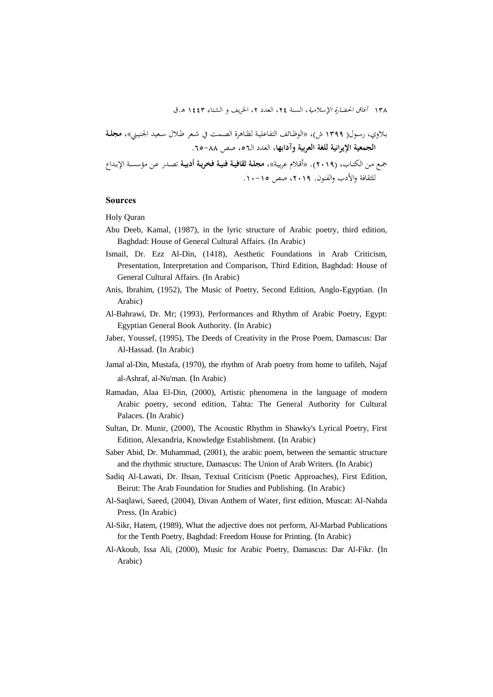١٣٨ آفاق الحضارة الإسلامية، السنة ٢٤، العدد ٢، الخريف و الشتاء ١٤٤٣ هـ.ق

بـلاوي، رسـول( ١٣٩٩ ش)، «الوظـائف التفاعليـة لظـاهرة الصـمت في شـعر طـلال سـعيد الجنيـ<u>ن</u>ي»، **مجلـة الجمعیة اإلیرانیة للغة العربیة وآدابها**، العدد الـ،56 صص .65-88 ـ مـد الكتـاص، )2019(. »أدـالم عربيـة«، **مجلاة اقافیاة فنیاة فخریاة أدبیاة** تصـدر عـد مؤسسـة اإلبـداع للثقافة والأدب والفنون. ٢٠١٩، صص ١٥-١٠.

#### **Sources**

Holy Quran

- Abu Deeb, Kamal, (1987), in the lyric structure of Arabic poetry, third edition, Baghdad: House of General Cultural Affairs. (In Arabic)
- Ismail, Dr. Ezz Al-Din, (1418), Aesthetic Foundations in Arab Criticism, Presentation, Interpretation and Comparison, Third Edition, Baghdad: House of General Cultural Affairs. (In Arabic)
- Anis, Ibrahim, (1952), The Music of Poetry, Second Edition, Anglo-Egyptian. (In Arabic)
- Al-Bahrawi, Dr. Mr; (1993), Performances and Rhythm of Arabic Poetry, Egypt: Egyptian General Book Authority. (In Arabic)
- Jaber, Youssef, (1995), The Deeds of Creativity in the Prose Poem, Damascus: Dar Al-Hassad. (In Arabic)
- Jamal al-Din, Mustafa, (1970), the rhythm of Arab poetry from home to tafileh, Najaf al-Ashraf, al-Nu'man. (In Arabic)
- Ramadan, Alaa El-Din, (2000), Artistic phenomena in the language of modern Arabic poetry, second edition, Tahta: The General Authority for Cultural Palaces. (In Arabic)
- Sultan, Dr. Munir, (2000), The Acoustic Rhythm in Shawky's Lyrical Poetry, First Edition, Alexandria, Knowledge Establishment. (In Arabic)
- Saber Abid, Dr. Muhammad, (2001), the arabic poem, between the semantic structure and the rhythmic structure, Damascus: The Union of Arab Writers. (In Arabic)
- Sadiq Al-Lawati, Dr. Ihsan, Textual Criticism (Poetic Approaches), First Edition, Beirut: The Arab Foundation for Studies and Publishing. (In Arabic)
- Al-Saqlawi, Saeed, (2004), Divan Anthem of Water, first edition, Muscat: Al-Nahda Press. (In Arabic)
- Al-Sikr, Hatem, (1989), What the adjective does not perform, Al-Marbad Publications for the Tenth Poetry, Baghdad: Freedom House for Printing. (In Arabic)
- Al-Akoub, Issa Ali, (2000), Music for Arabic Poetry, Damascus: Dar Al-Fikr. (In Arabic)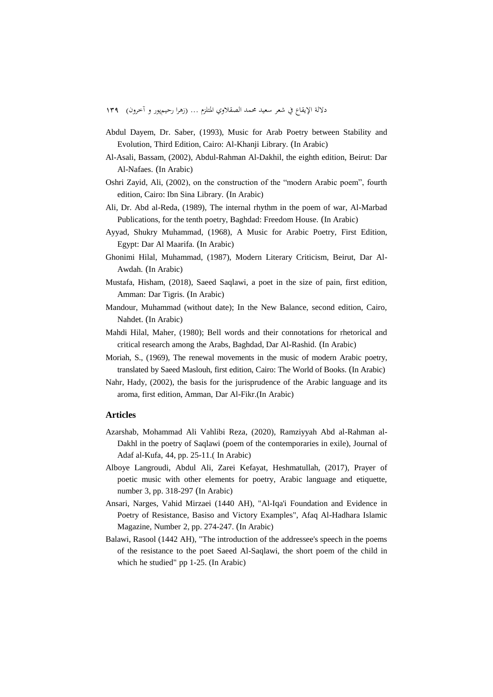- Abdul Dayem, Dr. Saber, (1993), Music for Arab Poetry between Stability and Evolution, Third Edition, Cairo: Al-Khanji Library. (In Arabic)
- Al-Asali, Bassam, (2002), Abdul-Rahman Al-Dakhil, the eighth edition, Beirut: Dar Al-Nafaes. (In Arabic)
- Oshri Zayid, Ali, (2002), on the construction of the "modern Arabic poem", fourth edition, Cairo: Ibn Sina Library. (In Arabic)
- Ali, Dr. Abd al-Reda, (1989), The internal rhythm in the poem of war, Al-Marbad Publications, for the tenth poetry, Baghdad: Freedom House. (In Arabic)
- Ayyad, Shukry Muhammad, (1968), A Music for Arabic Poetry, First Edition, Egypt: Dar Al Maarifa. (In Arabic)
- Ghonimi Hilal, Muhammad, (1987), Modern Literary Criticism, Beirut, Dar Al-Awdah. (In Arabic)
- Mustafa, Hisham, (2018), Saeed Saqlawi, a poet in the size of pain, first edition, Amman: Dar Tigris. (In Arabic)
- Mandour, Muhammad (without date); In the New Balance, second edition, Cairo, Nahdet. (In Arabic)
- Mahdi Hilal, Maher, (1980); Bell words and their connotations for rhetorical and critical research among the Arabs, Baghdad, Dar Al-Rashid. (In Arabic)
- Moriah, S., (1969), The renewal movements in the music of modern Arabic poetry, translated by Saeed Maslouh, first edition, Cairo: The World of Books. (In Arabic)
- Nahr, Hady, (2002), the basis for the jurisprudence of the Arabic language and its aroma, first edition, Amman, Dar Al-Fikr.(In Arabic)

#### **Articles**

- Azarshab, Mohammad Ali Vahlibi Reza, (2020), Ramziyyah Abd al-Rahman al-Dakhl in the poetry of Saqlawi (poem of the contemporaries in exile), Journal of Adaf al-Kufa, 44, pp. 25-11.( In Arabic)
- Alboye Langroudi, Abdul Ali, Zarei Kefayat, Heshmatullah, (2017), Prayer of poetic music with other elements for poetry, Arabic language and etiquette, number 3, pp. 318-297 (In Arabic)
- Ansari, Narges, Vahid Mirzaei (1440 AH), "Al-Iqa'i Foundation and Evidence in Poetry of Resistance, Basiso and Victory Examples", Afaq Al-Hadhara Islamic Magazine, Number 2, pp. 274-247. (In Arabic)
- Balawi, Rasool (1442 AH), "The introduction of the addressee's speech in the poems of the resistance to the poet Saeed Al-Saqlawi, the short poem of the child in which he studied" pp 1-25. (In Arabic)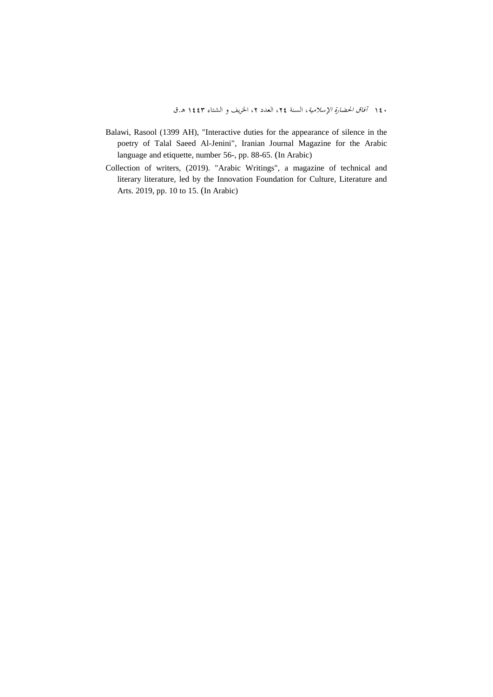- Balawi, Rasool (1399 AH), "Interactive duties for the appearance of silence in the poetry of Talal Saeed Al-Jenini", Iranian Journal Magazine for the Arabic language and etiquette, number 56-, pp. 88-65. (In Arabic)
- Collection of writers, (2019). "Arabic Writings", a magazine of technical and literary literature, led by the Innovation Foundation for Culture, Literature and Arts. 2019, pp. 10 to 15. (In Arabic)